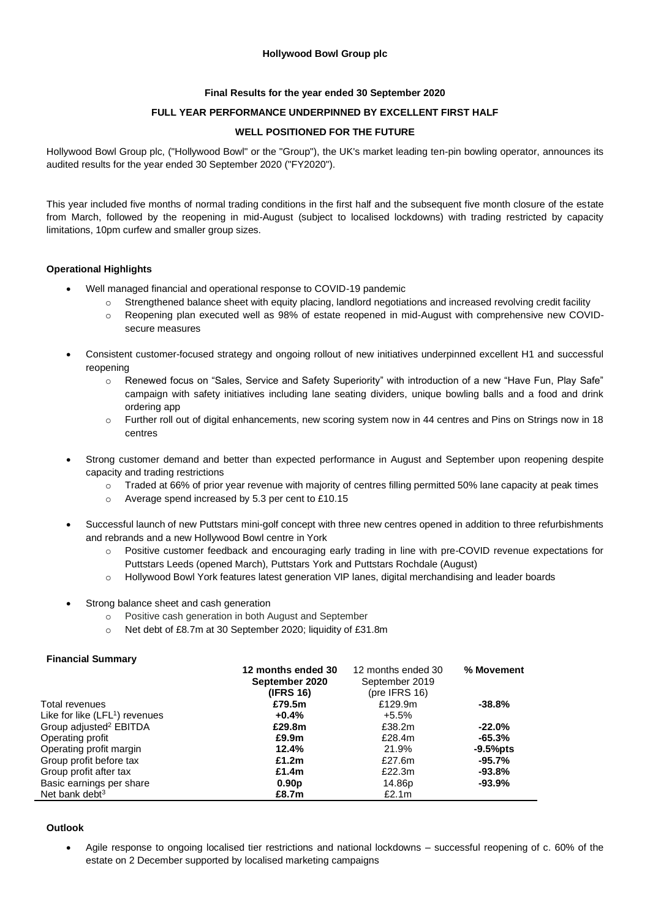## **Hollywood Bowl Group plc**

## **Final Results for the year ended 30 September 2020**

## **FULL YEAR PERFORMANCE UNDERPINNED BY EXCELLENT FIRST HALF**

### **WELL POSITIONED FOR THE FUTURE**

Hollywood Bowl Group plc, ("Hollywood Bowl" or the "Group"), the UK's market leading ten-pin bowling operator, announces its audited results for the year ended 30 September 2020 ("FY2020").

This year included five months of normal trading conditions in the first half and the subsequent five month closure of the estate from March, followed by the reopening in mid-August (subject to localised lockdowns) with trading restricted by capacity limitations, 10pm curfew and smaller group sizes.

## **Operational Highlights**

- Well managed financial and operational response to COVID-19 pandemic
	- Strengthened balance sheet with equity placing, landlord negotiations and increased revolving credit facility
	- o Reopening plan executed well as 98% of estate reopened in mid-August with comprehensive new COVIDsecure measures
- Consistent customer-focused strategy and ongoing rollout of new initiatives underpinned excellent H1 and successful reopening
	- o Renewed focus on "Sales, Service and Safety Superiority" with introduction of a new "Have Fun, Play Safe" campaign with safety initiatives including lane seating dividers, unique bowling balls and a food and drink ordering app
	- o Further roll out of digital enhancements, new scoring system now in 44 centres and Pins on Strings now in 18 centres
- Strong customer demand and better than expected performance in August and September upon reopening despite capacity and trading restrictions
	- $\circ$  Traded at 66% of prior year revenue with majority of centres filling permitted 50% lane capacity at peak times
	- o Average spend increased by 5.3 per cent to £10.15
- Successful launch of new Puttstars mini-golf concept with three new centres opened in addition to three refurbishments and rebrands and a new Hollywood Bowl centre in York
	- o Positive customer feedback and encouraging early trading in line with pre-COVID revenue expectations for Puttstars Leeds (opened March), Puttstars York and Puttstars Rochdale (August)
	- o Hollywood Bowl York features latest generation VIP lanes, digital merchandising and leader boards
- Strong balance sheet and cash generation
	- o Positive cash generation in both August and September
	- o Net debt of £8.7m at 30 September 2020; liquidity of £31.8m

#### **Financial Summary**

|                                            | 12 months ended 30 | 12 months ended 30 | % Movement  |
|--------------------------------------------|--------------------|--------------------|-------------|
|                                            | September 2020     | September 2019     |             |
|                                            | (IFRS 16)          | (pre IFRS $16$ )   |             |
| Total revenues                             | £79.5m             | £129.9m            | $-38.8%$    |
| Like for like (LFL <sup>1</sup> ) revenues | $+0.4%$            | +5.5%              |             |
| Group adjusted <sup>2</sup> EBITDA         | £29.8m             | £38.2m             | $-22.0%$    |
| Operating profit                           | £9.9m              | £28.4m             | $-65.3\%$   |
| Operating profit margin                    | 12.4%              | 21.9%              | $-9.5%$ pts |
| Group profit before tax                    | £1.2 $m$           | £27.6m             | $-95.7%$    |
| Group profit after tax                     | £1.4 $m$           | £22.3m             | $-93.8%$    |
| Basic earnings per share                   | 0.90 <sub>p</sub>  | 14.86p             | $-93.9%$    |
| Net bank debt $3$                          | £8.7m              | £2.1m              |             |

## **Outlook**

• Agile response to ongoing localised tier restrictions and national lockdowns – successful reopening of c. 60% of the estate on 2 December supported by localised marketing campaigns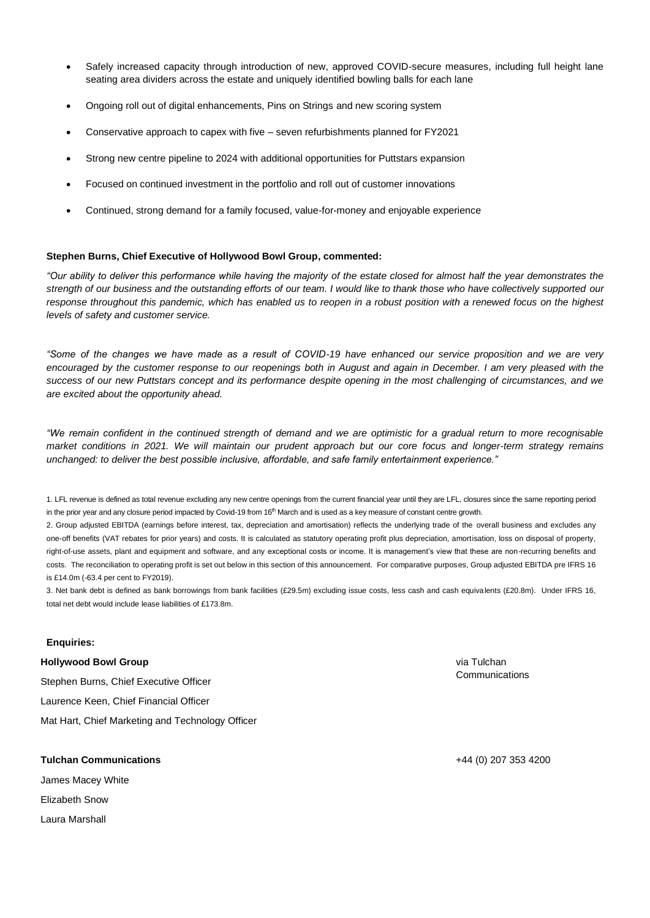- Safely increased capacity through introduction of new, approved COVID-secure measures, including full height lane seating area dividers across the estate and uniquely identified bowling balls for each lane
- Ongoing roll out of digital enhancements, Pins on Strings and new scoring system
- Conservative approach to capex with five seven refurbishments planned for FY2021
- Strong new centre pipeline to 2024 with additional opportunities for Puttstars expansion
- Focused on continued investment in the portfolio and roll out of customer innovations
- Continued, strong demand for a family focused, value-for-money and enjoyable experience

#### **Stephen Burns, Chief Executive of Hollywood Bowl Group, commented:**

*"Our ability to deliver this performance while having the majority of the estate closed for almost half the year demonstrates the strength of our business and the outstanding efforts of our team. I would like to thank those who have collectively supported our response throughout this pandemic, which has enabled us to reopen in a robust position with a renewed focus on the highest levels of safety and customer service.* 

*"Some of the changes we have made as a result of COVID-19 have enhanced our service proposition and we are very encouraged by the customer response to our reopenings both in August and again in December. I am very pleased with the success of our new Puttstars concept and its performance despite opening in the most challenging of circumstances, and we are excited about the opportunity ahead.* 

*"We remain confident in the continued strength of demand and we are optimistic for a gradual return to more recognisable market conditions in 2021. We will maintain our prudent approach but our core focus and longer-term strategy remains unchanged: to deliver the best possible inclusive, affordable, and safe family entertainment experience."*

1. LFL revenue is defined as total revenue excluding any new centre openings from the current financial year until they are LFL, closures since the same reporting period in the prior year and any closure period impacted by Covid-19 from 16<sup>th</sup> March and is used as a key measure of constant centre growth.

2. Group adjusted EBITDA (earnings before interest, tax, depreciation and amortisation) reflects the underlying trade of the overall business and excludes any one-off benefits (VAT rebates for prior years) and costs. It is calculated as statutory operating profit plus depreciation, amortisation, loss on disposal of property, right-of-use assets, plant and equipment and software, and any exceptional costs or income. It is management's view that these are non-recurring benefits and costs. The reconciliation to operating profit is set out below in this section of this announcement. For comparative purposes, Group adjusted EBITDA pre IFRS 16 is £14.0m (-63.4 per cent to FY2019).

3. Net bank debt is defined as bank borrowings from bank facilities (£29.5m) excluding issue costs, less cash and cash equivalents (£20.8m). Under IFRS 16, total net debt would include lease liabilities of £173.8m.

#### **Enquiries:**

**Hollywood Bowl Group**

Stephen Burns, Chief Executive Officer Laurence Keen, Chief Financial Officer Mat Hart, Chief Marketing and Technology Officer

### **Tulchan Communications**

James Macey White Elizabeth Snow Laura Marshall

via Tulchan **Communications** 

+44 (0) 207 353 4200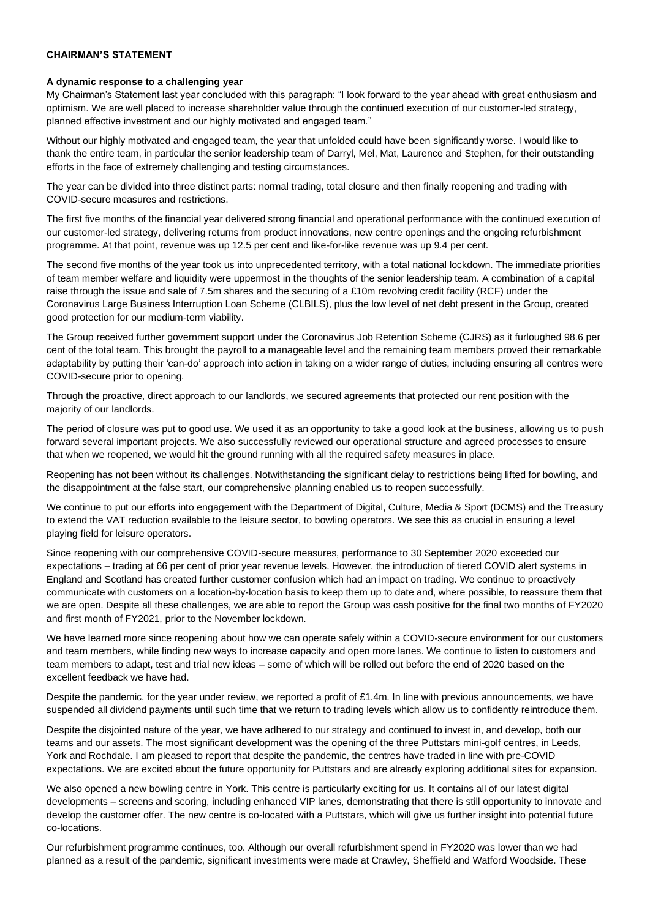#### **CHAIRMAN'S STATEMENT**

#### **A dynamic response to a challenging year**

My Chairman's Statement last year concluded with this paragraph: "I look forward to the year ahead with great enthusiasm and optimism. We are well placed to increase shareholder value through the continued execution of our customer-led strategy, planned effective investment and our highly motivated and engaged team."

Without our highly motivated and engaged team, the year that unfolded could have been significantly worse. I would like to thank the entire team, in particular the senior leadership team of Darryl, Mel, Mat, Laurence and Stephen, for their outstanding efforts in the face of extremely challenging and testing circumstances.

The year can be divided into three distinct parts: normal trading, total closure and then finally reopening and trading with COVID-secure measures and restrictions.

The first five months of the financial year delivered strong financial and operational performance with the continued execution of our customer-led strategy, delivering returns from product innovations, new centre openings and the ongoing refurbishment programme. At that point, revenue was up 12.5 per cent and like-for-like revenue was up 9.4 per cent.

The second five months of the year took us into unprecedented territory, with a total national lockdown. The immediate priorities of team member welfare and liquidity were uppermost in the thoughts of the senior leadership team. A combination of a capital raise through the issue and sale of 7.5m shares and the securing of a £10m revolving credit facility (RCF) under the Coronavirus Large Business Interruption Loan Scheme (CLBILS), plus the low level of net debt present in the Group, created good protection for our medium-term viability.

The Group received further government support under the Coronavirus Job Retention Scheme (CJRS) as it furloughed 98.6 per cent of the total team. This brought the payroll to a manageable level and the remaining team members proved their remarkable adaptability by putting their 'can-do' approach into action in taking on a wider range of duties, including ensuring all centres were COVID-secure prior to opening.

Through the proactive, direct approach to our landlords, we secured agreements that protected our rent position with the majority of our landlords.

The period of closure was put to good use. We used it as an opportunity to take a good look at the business, allowing us to push forward several important projects. We also successfully reviewed our operational structure and agreed processes to ensure that when we reopened, we would hit the ground running with all the required safety measures in place.

Reopening has not been without its challenges. Notwithstanding the significant delay to restrictions being lifted for bowling, and the disappointment at the false start, our comprehensive planning enabled us to reopen successfully.

We continue to put our efforts into engagement with the Department of Digital, Culture, Media & Sport (DCMS) and the Treasury to extend the VAT reduction available to the leisure sector, to bowling operators. We see this as crucial in ensuring a level playing field for leisure operators.

Since reopening with our comprehensive COVID-secure measures, performance to 30 September 2020 exceeded our expectations – trading at 66 per cent of prior year revenue levels. However, the introduction of tiered COVID alert systems in England and Scotland has created further customer confusion which had an impact on trading. We continue to proactively communicate with customers on a location-by-location basis to keep them up to date and, where possible, to reassure them that we are open. Despite all these challenges, we are able to report the Group was cash positive for the final two months of FY2020 and first month of FY2021, prior to the November lockdown.

We have learned more since reopening about how we can operate safely within a COVID-secure environment for our customers and team members, while finding new ways to increase capacity and open more lanes. We continue to listen to customers and team members to adapt, test and trial new ideas – some of which will be rolled out before the end of 2020 based on the excellent feedback we have had.

Despite the pandemic, for the year under review, we reported a profit of £1.4m. In line with previous announcements, we have suspended all dividend payments until such time that we return to trading levels which allow us to confidently reintroduce them.

Despite the disjointed nature of the year, we have adhered to our strategy and continued to invest in, and develop, both our teams and our assets. The most significant development was the opening of the three Puttstars mini-golf centres, in Leeds, York and Rochdale. I am pleased to report that despite the pandemic, the centres have traded in line with pre-COVID expectations. We are excited about the future opportunity for Puttstars and are already exploring additional sites for expansion.

We also opened a new bowling centre in York. This centre is particularly exciting for us. It contains all of our latest digital developments – screens and scoring, including enhanced VIP lanes, demonstrating that there is still opportunity to innovate and develop the customer offer. The new centre is co-located with a Puttstars, which will give us further insight into potential future co-locations.

Our refurbishment programme continues, too. Although our overall refurbishment spend in FY2020 was lower than we had planned as a result of the pandemic, significant investments were made at Crawley, Sheffield and Watford Woodside. These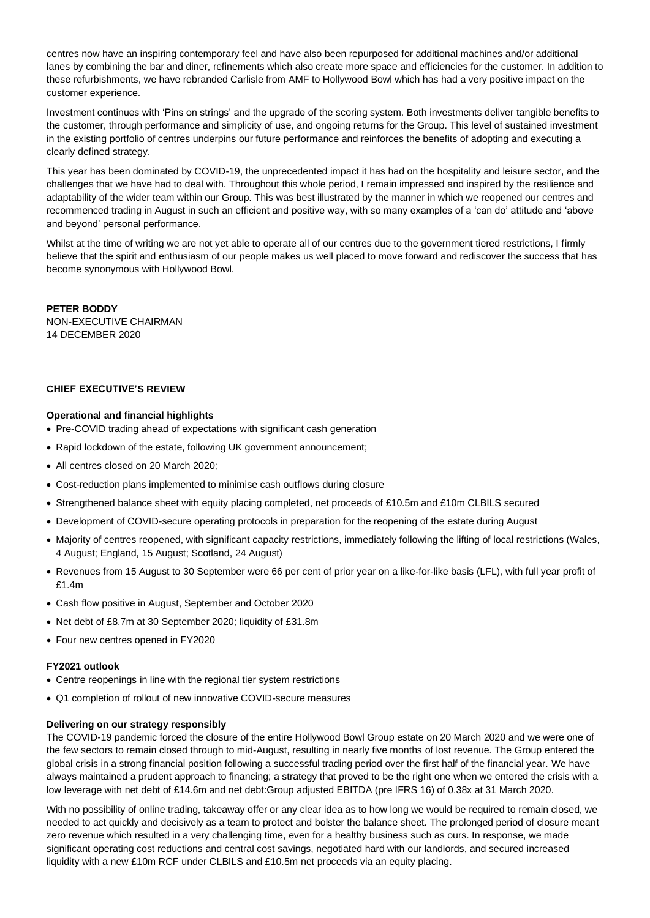centres now have an inspiring contemporary feel and have also been repurposed for additional machines and/or additional lanes by combining the bar and diner, refinements which also create more space and efficiencies for the customer. In addition to these refurbishments, we have rebranded Carlisle from AMF to Hollywood Bowl which has had a very positive impact on the customer experience.

Investment continues with 'Pins on strings' and the upgrade of the scoring system. Both investments deliver tangible benefits to the customer, through performance and simplicity of use, and ongoing returns for the Group. This level of sustained investment in the existing portfolio of centres underpins our future performance and reinforces the benefits of adopting and executing a clearly defined strategy.

This year has been dominated by COVID-19, the unprecedented impact it has had on the hospitality and leisure sector, and the challenges that we have had to deal with. Throughout this whole period, I remain impressed and inspired by the resilience and adaptability of the wider team within our Group. This was best illustrated by the manner in which we reopened our centres and recommenced trading in August in such an efficient and positive way, with so many examples of a 'can do' attitude and 'above and beyond' personal performance.

Whilst at the time of writing we are not yet able to operate all of our centres due to the government tiered restrictions, I firmly believe that the spirit and enthusiasm of our people makes us well placed to move forward and rediscover the success that has become synonymous with Hollywood Bowl.

**PETER BODDY** NON-EXECUTIVE CHAIRMAN 14 DECEMBER 2020

## **CHIEF EXECUTIVE'S REVIEW**

## **Operational and financial highlights**

- Pre-COVID trading ahead of expectations with significant cash generation
- Rapid lockdown of the estate, following UK government announcement;
- All centres closed on 20 March 2020:
- Cost-reduction plans implemented to minimise cash outflows during closure
- Strengthened balance sheet with equity placing completed, net proceeds of £10.5m and £10m CLBILS secured
- Development of COVID-secure operating protocols in preparation for the reopening of the estate during August
- Majority of centres reopened, with significant capacity restrictions, immediately following the lifting of local restrictions (Wales, 4 August; England, 15 August; Scotland, 24 August)
- Revenues from 15 August to 30 September were 66 per cent of prior year on a like-for-like basis (LFL), with full year profit of £1.4m
- Cash flow positive in August, September and October 2020
- Net debt of £8.7m at 30 September 2020; liquidity of £31.8m
- Four new centres opened in FY2020

#### **FY2021 outlook**

- Centre reopenings in line with the regional tier system restrictions
- Q1 completion of rollout of new innovative COVID-secure measures

#### **Delivering on our strategy responsibly**

The COVID-19 pandemic forced the closure of the entire Hollywood Bowl Group estate on 20 March 2020 and we were one of the few sectors to remain closed through to mid-August, resulting in nearly five months of lost revenue. The Group entered the global crisis in a strong financial position following a successful trading period over the first half of the financial year. We have always maintained a prudent approach to financing; a strategy that proved to be the right one when we entered the crisis with a low leverage with net debt of £14.6m and net debt:Group adjusted EBITDA (pre IFRS 16) of 0.38x at 31 March 2020.

With no possibility of online trading, takeaway offer or any clear idea as to how long we would be required to remain closed, we needed to act quickly and decisively as a team to protect and bolster the balance sheet. The prolonged period of closure meant zero revenue which resulted in a very challenging time, even for a healthy business such as ours. In response, we made significant operating cost reductions and central cost savings, negotiated hard with our landlords, and secured increased liquidity with a new £10m RCF under CLBILS and £10.5m net proceeds via an equity placing.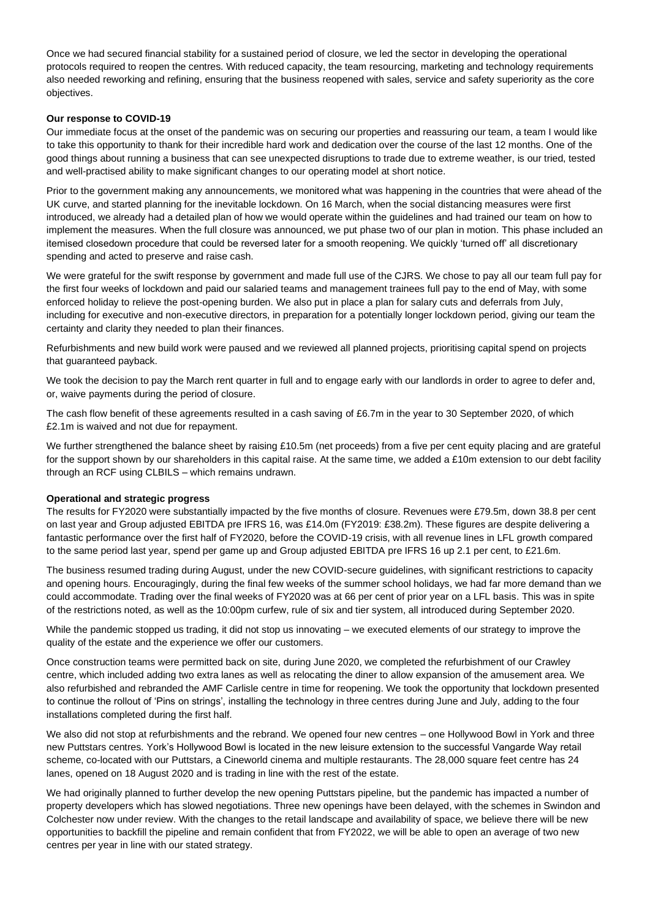Once we had secured financial stability for a sustained period of closure, we led the sector in developing the operational protocols required to reopen the centres. With reduced capacity, the team resourcing, marketing and technology requirements also needed reworking and refining, ensuring that the business reopened with sales, service and safety superiority as the core objectives.

## **Our response to COVID-19**

Our immediate focus at the onset of the pandemic was on securing our properties and reassuring our team, a team I would like to take this opportunity to thank for their incredible hard work and dedication over the course of the last 12 months. One of the good things about running a business that can see unexpected disruptions to trade due to extreme weather, is our tried, tested and well-practised ability to make significant changes to our operating model at short notice.

Prior to the government making any announcements, we monitored what was happening in the countries that were ahead of the UK curve, and started planning for the inevitable lockdown. On 16 March, when the social distancing measures were first introduced, we already had a detailed plan of how we would operate within the guidelines and had trained our team on how to implement the measures. When the full closure was announced, we put phase two of our plan in motion. This phase included an itemised closedown procedure that could be reversed later for a smooth reopening. We quickly 'turned off' all discretionary spending and acted to preserve and raise cash.

We were grateful for the swift response by government and made full use of the CJRS. We chose to pay all our team full pay for the first four weeks of lockdown and paid our salaried teams and management trainees full pay to the end of May, with some enforced holiday to relieve the post-opening burden. We also put in place a plan for salary cuts and deferrals from July, including for executive and non-executive directors, in preparation for a potentially longer lockdown period, giving our team the certainty and clarity they needed to plan their finances.

Refurbishments and new build work were paused and we reviewed all planned projects, prioritising capital spend on projects that guaranteed payback.

We took the decision to pay the March rent quarter in full and to engage early with our landlords in order to agree to defer and, or, waive payments during the period of closure.

The cash flow benefit of these agreements resulted in a cash saving of £6.7m in the year to 30 September 2020, of which £2.1m is waived and not due for repayment.

We further strengthened the balance sheet by raising £10.5m (net proceeds) from a five per cent equity placing and are grateful for the support shown by our shareholders in this capital raise. At the same time, we added a £10m extension to our debt facility through an RCF using CLBILS – which remains undrawn.

#### **Operational and strategic progress**

The results for FY2020 were substantially impacted by the five months of closure. Revenues were £79.5m, down 38.8 per cent on last year and Group adjusted EBITDA pre IFRS 16, was £14.0m (FY2019: £38.2m). These figures are despite delivering a fantastic performance over the first half of FY2020, before the COVID-19 crisis, with all revenue lines in LFL growth compared to the same period last year, spend per game up and Group adjusted EBITDA pre IFRS 16 up 2.1 per cent, to £21.6m.

The business resumed trading during August, under the new COVID-secure guidelines, with significant restrictions to capacity and opening hours. Encouragingly, during the final few weeks of the summer school holidays, we had far more demand than we could accommodate. Trading over the final weeks of FY2020 was at 66 per cent of prior year on a LFL basis. This was in spite of the restrictions noted, as well as the 10:00pm curfew, rule of six and tier system, all introduced during September 2020.

While the pandemic stopped us trading, it did not stop us innovating – we executed elements of our strategy to improve the quality of the estate and the experience we offer our customers.

Once construction teams were permitted back on site, during June 2020, we completed the refurbishment of our Crawley centre, which included adding two extra lanes as well as relocating the diner to allow expansion of the amusement area. We also refurbished and rebranded the AMF Carlisle centre in time for reopening. We took the opportunity that lockdown presented to continue the rollout of 'Pins on strings', installing the technology in three centres during June and July, adding to the four installations completed during the first half.

We also did not stop at refurbishments and the rebrand. We opened four new centres – one Hollywood Bowl in York and three new Puttstars centres. York's Hollywood Bowl is located in the new leisure extension to the successful Vangarde Way retail scheme, co-located with our Puttstars, a Cineworld cinema and multiple restaurants. The 28,000 square feet centre has 24 lanes, opened on 18 August 2020 and is trading in line with the rest of the estate.

We had originally planned to further develop the new opening Puttstars pipeline, but the pandemic has impacted a number of property developers which has slowed negotiations. Three new openings have been delayed, with the schemes in Swindon and Colchester now under review. With the changes to the retail landscape and availability of space, we believe there will be new opportunities to backfill the pipeline and remain confident that from FY2022, we will be able to open an average of two new centres per year in line with our stated strategy.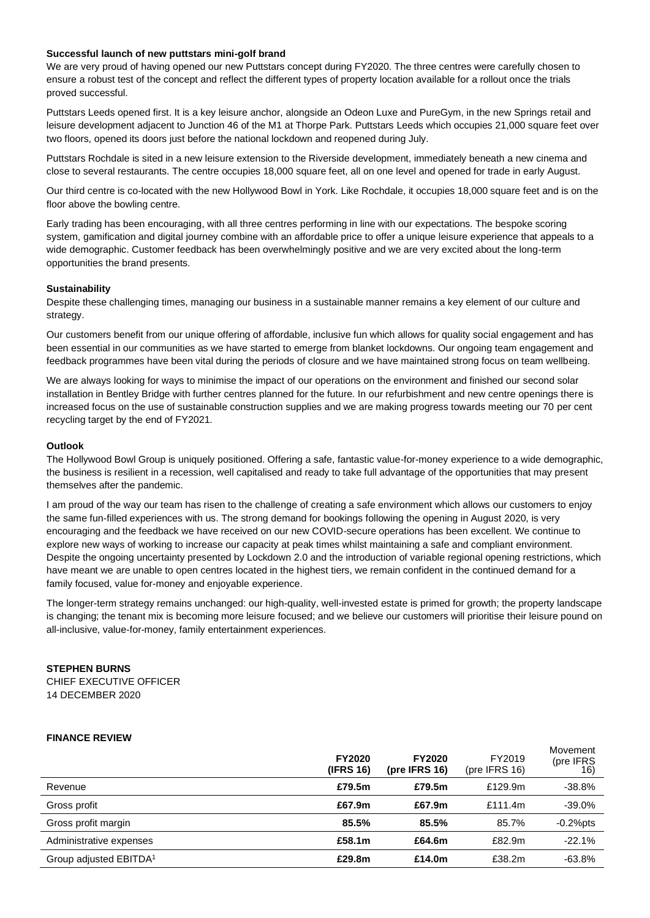### **Successful launch of new puttstars mini-golf brand**

We are very proud of having opened our new Puttstars concept during FY2020. The three centres were carefully chosen to ensure a robust test of the concept and reflect the different types of property location available for a rollout once the trials proved successful.

Puttstars Leeds opened first. It is a key leisure anchor, alongside an Odeon Luxe and PureGym, in the new Springs retail and leisure development adjacent to Junction 46 of the M1 at Thorpe Park. Puttstars Leeds which occupies 21,000 square feet over two floors, opened its doors just before the national lockdown and reopened during July.

Puttstars Rochdale is sited in a new leisure extension to the Riverside development, immediately beneath a new cinema and close to several restaurants. The centre occupies 18,000 square feet, all on one level and opened for trade in early August.

Our third centre is co-located with the new Hollywood Bowl in York. Like Rochdale, it occupies 18,000 square feet and is on the floor above the bowling centre.

Early trading has been encouraging, with all three centres performing in line with our expectations. The bespoke scoring system, gamification and digital journey combine with an affordable price to offer a unique leisure experience that appeals to a wide demographic. Customer feedback has been overwhelmingly positive and we are very excited about the long-term opportunities the brand presents.

#### **Sustainability**

Despite these challenging times, managing our business in a sustainable manner remains a key element of our culture and strategy.

Our customers benefit from our unique offering of affordable, inclusive fun which allows for quality social engagement and has been essential in our communities as we have started to emerge from blanket lockdowns. Our ongoing team engagement and feedback programmes have been vital during the periods of closure and we have maintained strong focus on team wellbeing.

We are always looking for ways to minimise the impact of our operations on the environment and finished our second solar installation in Bentley Bridge with further centres planned for the future. In our refurbishment and new centre openings there is increased focus on the use of sustainable construction supplies and we are making progress towards meeting our 70 per cent recycling target by the end of FY2021.

#### **Outlook**

The Hollywood Bowl Group is uniquely positioned. Offering a safe, fantastic value-for-money experience to a wide demographic, the business is resilient in a recession, well capitalised and ready to take full advantage of the opportunities that may present themselves after the pandemic.

I am proud of the way our team has risen to the challenge of creating a safe environment which allows our customers to enjoy the same fun-filled experiences with us. The strong demand for bookings following the opening in August 2020, is very encouraging and the feedback we have received on our new COVID-secure operations has been excellent. We continue to explore new ways of working to increase our capacity at peak times whilst maintaining a safe and compliant environment. Despite the ongoing uncertainty presented by Lockdown 2.0 and the introduction of variable regional opening restrictions, which have meant we are unable to open centres located in the highest tiers, we remain confident in the continued demand for a family focused, value for-money and enjoyable experience.

The longer-term strategy remains unchanged: our high-quality, well-invested estate is primed for growth; the property landscape is changing; the tenant mix is becoming more leisure focused; and we believe our customers will prioritise their leisure pound on all-inclusive, value-for-money, family entertainment experiences.

# **STEPHEN BURNS**

CHIEF EXECUTIVE OFFICER 14 DECEMBER 2020

#### **FINANCE REVIEW**

|                                    | <b>FY2020</b><br>(IFRS 16) | <b>FY2020</b><br>(pre IFRS $16$ ) | FY2019<br>(pre IFRS $16$ ) | Movement<br>(pre IFRS) |
|------------------------------------|----------------------------|-----------------------------------|----------------------------|------------------------|
| Revenue                            | £79.5m                     | £79.5m                            | £129.9m                    | $-38.8%$               |
| Gross profit                       | £67.9m                     | £67.9m                            | £111.4m                    | $-39.0%$               |
| Gross profit margin                | 85.5%                      | 85.5%                             | 85.7%                      | $-0.2%$ pts            |
| Administrative expenses            | £58.1m                     | £64.6m                            | £82.9m                     | $-22.1%$               |
| Group adjusted EBITDA <sup>1</sup> | £29.8m                     | £14.0m                            | £38.2m                     | $-63.8%$               |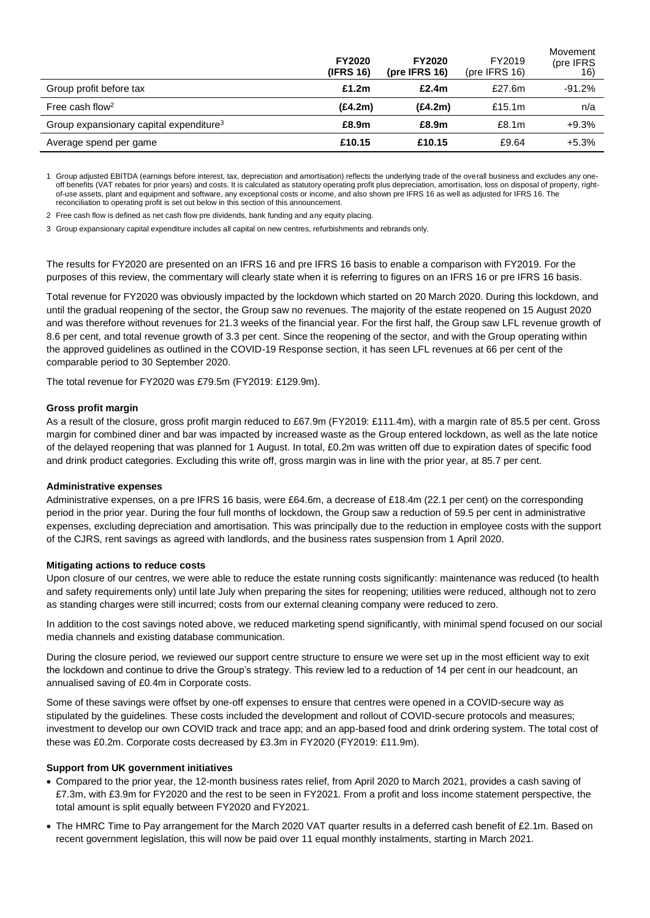|                                                     | <b>FY2020</b><br>(IFRS 16) | <b>FY2020</b><br>(pre IFRS $16$ ) | FY2019<br>(pre IFRS $16$ ) | Movement<br>(pre IFRS) |
|-----------------------------------------------------|----------------------------|-----------------------------------|----------------------------|------------------------|
| Group profit before tax                             | £1.2m                      | £2.4m                             | £27.6 $m$                  | $-91.2\%$              |
| Free cash flow <sup>2</sup>                         | (E4.2m)                    | (E4.2m)                           | £15.1 $m$                  | n/a                    |
| Group expansionary capital expenditure <sup>3</sup> | £8.9m                      | £8.9m                             | £8.1 <sub>m</sub>          | $+9.3%$                |
| Average spend per game                              | £10.15                     | £10.15                            | £9.64                      | $+5.3%$                |

1 Group adjusted EBITDA (earnings before interest, tax, depreciation and amortisation) reflects the underlying trade of the overall business and excludes any oneoff benefits (VAT rebates for prior years) and costs. It is calculated as statutory operating profit plus depreciation, amortisation, loss on disposal of property, rightof-use assets, plant and equipment and software, any exceptional costs or income, and also shown pre IFRS 16 as well as adjusted for IFRS 16. The reconciliation to operating profit is set out below in this section of this announcement.

2 Free cash flow is defined as net cash flow pre dividends, bank funding and any equity placing.

3 Group expansionary capital expenditure includes all capital on new centres, refurbishments and rebrands only.

The results for FY2020 are presented on an IFRS 16 and pre IFRS 16 basis to enable a comparison with FY2019. For the purposes of this review, the commentary will clearly state when it is referring to figures on an IFRS 16 or pre IFRS 16 basis.

Total revenue for FY2020 was obviously impacted by the lockdown which started on 20 March 2020. During this lockdown, and until the gradual reopening of the sector, the Group saw no revenues. The majority of the estate reopened on 15 August 2020 and was therefore without revenues for 21.3 weeks of the financial year. For the first half, the Group saw LFL revenue growth of 8.6 per cent, and total revenue growth of 3.3 per cent. Since the reopening of the sector, and with the Group operating within the approved guidelines as outlined in the COVID-19 Response section, it has seen LFL revenues at 66 per cent of the comparable period to 30 September 2020.

The total revenue for FY2020 was £79.5m (FY2019: £129.9m).

#### **Gross profit margin**

As a result of the closure, gross profit margin reduced to £67.9m (FY2019: £111.4m), with a margin rate of 85.5 per cent. Gross margin for combined diner and bar was impacted by increased waste as the Group entered lockdown, as well as the late notice of the delayed reopening that was planned for 1 August. In total, £0.2m was written off due to expiration dates of specific food and drink product categories. Excluding this write off, gross margin was in line with the prior year, at 85.7 per cent.

#### **Administrative expenses**

Administrative expenses, on a pre IFRS 16 basis, were £64.6m, a decrease of £18.4m (22.1 per cent) on the corresponding period in the prior year. During the four full months of lockdown, the Group saw a reduction of 59.5 per cent in administrative expenses, excluding depreciation and amortisation. This was principally due to the reduction in employee costs with the support of the CJRS, rent savings as agreed with landlords, and the business rates suspension from 1 April 2020.

#### **Mitigating actions to reduce costs**

Upon closure of our centres, we were able to reduce the estate running costs significantly: maintenance was reduced (to health and safety requirements only) until late July when preparing the sites for reopening; utilities were reduced, although not to zero as standing charges were still incurred; costs from our external cleaning company were reduced to zero.

In addition to the cost savings noted above, we reduced marketing spend significantly, with minimal spend focused on our social media channels and existing database communication.

During the closure period, we reviewed our support centre structure to ensure we were set up in the most efficient way to exit the lockdown and continue to drive the Group's strategy. This review led to a reduction of 14 per cent in our headcount, an annualised saving of £0.4m in Corporate costs.

Some of these savings were offset by one-off expenses to ensure that centres were opened in a COVID-secure way as stipulated by the guidelines. These costs included the development and rollout of COVID-secure protocols and measures; investment to develop our own COVID track and trace app; and an app-based food and drink ordering system. The total cost of these was £0.2m. Corporate costs decreased by £3.3m in FY2020 (FY2019: £11.9m).

#### **Support from UK government initiatives**

- Compared to the prior year, the 12-month business rates relief, from April 2020 to March 2021, provides a cash saving of £7.3m, with £3.9m for FY2020 and the rest to be seen in FY2021. From a profit and loss income statement perspective, the total amount is split equally between FY2020 and FY2021.
- The HMRC Time to Pay arrangement for the March 2020 VAT quarter results in a deferred cash benefit of £2.1m. Based on recent government legislation, this will now be paid over 11 equal monthly instalments, starting in March 2021.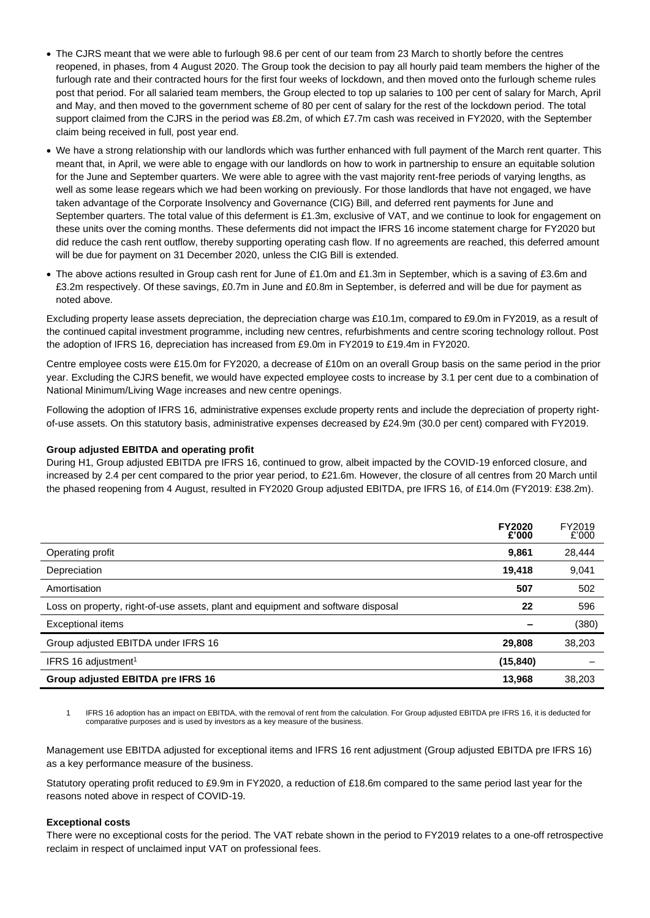- The CJRS meant that we were able to furlough 98.6 per cent of our team from 23 March to shortly before the centres reopened, in phases, from 4 August 2020. The Group took the decision to pay all hourly paid team members the higher of the furlough rate and their contracted hours for the first four weeks of lockdown, and then moved onto the furlough scheme rules post that period. For all salaried team members, the Group elected to top up salaries to 100 per cent of salary for March, April and May, and then moved to the government scheme of 80 per cent of salary for the rest of the lockdown period. The total support claimed from the CJRS in the period was £8.2m, of which £7.7m cash was received in FY2020, with the September claim being received in full, post year end.
- We have a strong relationship with our landlords which was further enhanced with full payment of the March rent quarter. This meant that, in April, we were able to engage with our landlords on how to work in partnership to ensure an equitable solution for the June and September quarters. We were able to agree with the vast majority rent-free periods of varying lengths, as well as some lease regears which we had been working on previously. For those landlords that have not engaged, we have taken advantage of the Corporate Insolvency and Governance (CIG) Bill, and deferred rent payments for June and September quarters. The total value of this deferment is £1.3m, exclusive of VAT, and we continue to look for engagement on these units over the coming months. These deferments did not impact the IFRS 16 income statement charge for FY2020 but did reduce the cash rent outflow, thereby supporting operating cash flow. If no agreements are reached, this deferred amount will be due for payment on 31 December 2020, unless the CIG Bill is extended.
- The above actions resulted in Group cash rent for June of £1.0m and £1.3m in September, which is a saving of £3.6m and £3.2m respectively. Of these savings, £0.7m in June and £0.8m in September, is deferred and will be due for payment as noted above.

Excluding property lease assets depreciation, the depreciation charge was £10.1m, compared to £9.0m in FY2019, as a result of the continued capital investment programme, including new centres, refurbishments and centre scoring technology rollout. Post the adoption of IFRS 16, depreciation has increased from £9.0m in FY2019 to £19.4m in FY2020.

Centre employee costs were £15.0m for FY2020, a decrease of £10m on an overall Group basis on the same period in the prior year. Excluding the CJRS benefit, we would have expected employee costs to increase by 3.1 per cent due to a combination of National Minimum/Living Wage increases and new centre openings.

Following the adoption of IFRS 16, administrative expenses exclude property rents and include the depreciation of property rightof-use assets. On this statutory basis, administrative expenses decreased by £24.9m (30.0 per cent) compared with FY2019.

## **Group adjusted EBITDA and operating profit**

During H1, Group adjusted EBITDA pre IFRS 16, continued to grow, albeit impacted by the COVID-19 enforced closure, and increased by 2.4 per cent compared to the prior year period, to £21.6m. However, the closure of all centres from 20 March until the phased reopening from 4 August, resulted in FY2020 Group adjusted EBITDA, pre IFRS 16, of £14.0m (FY2019: £38.2m).

|                                                                                  | <b>FY2020</b><br>£'000 | FY2019<br>£'000 |
|----------------------------------------------------------------------------------|------------------------|-----------------|
| Operating profit                                                                 | 9,861                  | 28,444          |
| Depreciation                                                                     | 19.418                 | 9,041           |
| Amortisation                                                                     | 507                    | 502             |
| Loss on property, right-of-use assets, plant and equipment and software disposal | 22                     | 596             |
| <b>Exceptional items</b>                                                         |                        | (380)           |
| Group adjusted EBITDA under IFRS 16                                              | 29,808                 | 38,203          |
| IFRS 16 adjustment <sup>1</sup>                                                  | (15, 840)              |                 |
| Group adjusted EBITDA pre IFRS 16                                                | 13.968                 | 38,203          |

1 IFRS 16 adoption has an impact on EBITDA, with the removal of rent from the calculation. For Group adjusted EBITDA pre IFRS 16, it is deducted for comparative purposes and is used by investors as a key measure of the business.

Management use EBITDA adjusted for exceptional items and IFRS 16 rent adjustment (Group adjusted EBITDA pre IFRS 16) as a key performance measure of the business.

Statutory operating profit reduced to £9.9m in FY2020, a reduction of £18.6m compared to the same period last year for the reasons noted above in respect of COVID-19.

#### **Exceptional costs**

There were no exceptional costs for the period. The VAT rebate shown in the period to FY2019 relates to a one-off retrospective reclaim in respect of unclaimed input VAT on professional fees.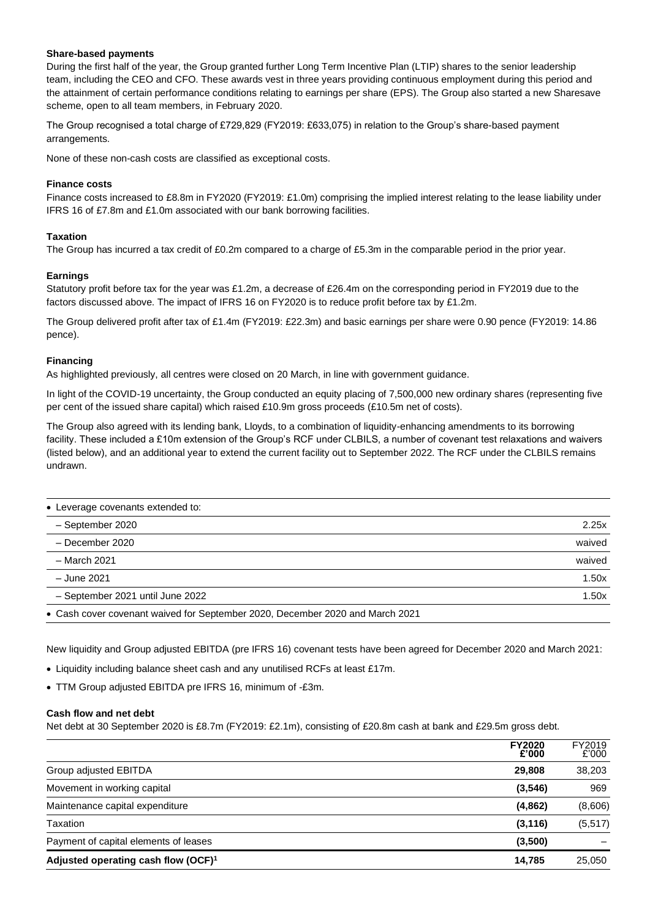### **Share-based payments**

During the first half of the year, the Group granted further Long Term Incentive Plan (LTIP) shares to the senior leadership team, including the CEO and CFO. These awards vest in three years providing continuous employment during this period and the attainment of certain performance conditions relating to earnings per share (EPS). The Group also started a new Sharesave scheme, open to all team members, in February 2020.

The Group recognised a total charge of £729,829 (FY2019: £633,075) in relation to the Group's share-based payment arrangements.

None of these non-cash costs are classified as exceptional costs.

## **Finance costs**

Finance costs increased to £8.8m in FY2020 (FY2019: £1.0m) comprising the implied interest relating to the lease liability under IFRS 16 of £7.8m and £1.0m associated with our bank borrowing facilities.

## **Taxation**

The Group has incurred a tax credit of £0.2m compared to a charge of £5.3m in the comparable period in the prior year.

## **Earnings**

Statutory profit before tax for the year was £1.2m, a decrease of £26.4m on the corresponding period in FY2019 due to the factors discussed above. The impact of IFRS 16 on FY2020 is to reduce profit before tax by £1.2m.

The Group delivered profit after tax of £1.4m (FY2019: £22.3m) and basic earnings per share were 0.90 pence (FY2019: 14.86 pence).

#### **Financing**

As highlighted previously, all centres were closed on 20 March, in line with government guidance.

In light of the COVID-19 uncertainty, the Group conducted an equity placing of 7,500,000 new ordinary shares (representing five per cent of the issued share capital) which raised £10.9m gross proceeds (£10.5m net of costs).

The Group also agreed with its lending bank, Lloyds, to a combination of liquidity-enhancing amendments to its borrowing facility. These included a £10m extension of the Group's RCF under CLBILS, a number of covenant test relaxations and waivers (listed below), and an additional year to extend the current facility out to September 2022. The RCF under the CLBILS remains undrawn.

| • Leverage covenants extended to:                                             |        |
|-------------------------------------------------------------------------------|--------|
| - September 2020                                                              | 2.25x  |
| - December 2020                                                               | waived |
| - March 2021                                                                  | waived |
| - June 2021                                                                   | 1.50x  |
| - September 2021 until June 2022                                              | 1.50x  |
| • Cash cover covenant waived for September 2020, December 2020 and March 2021 |        |

New liquidity and Group adjusted EBITDA (pre IFRS 16) covenant tests have been agreed for December 2020 and March 2021:

• Liquidity including balance sheet cash and any unutilised RCFs at least £17m.

• TTM Group adjusted EBITDA pre IFRS 16, minimum of -£3m.

#### **Cash flow and net debt**

Net debt at 30 September 2020 is £8.7m (FY2019: £2.1m), consisting of £20.8m cash at bank and £29.5m gross debt.

| Adjusted operating cash flow (OCF) <sup>1</sup> | 14.785                 | 25.050          |
|-------------------------------------------------|------------------------|-----------------|
| Payment of capital elements of leases           | (3,500)                |                 |
| Taxation                                        | (3, 116)               | (5, 517)        |
| Maintenance capital expenditure                 | (4, 862)               | (8,606)         |
| Movement in working capital                     | (3, 546)               | 969             |
| Group adjusted EBITDA                           | 29,808                 | 38,203          |
|                                                 | <b>FY2020</b><br>£'000 | FY2019<br>£'000 |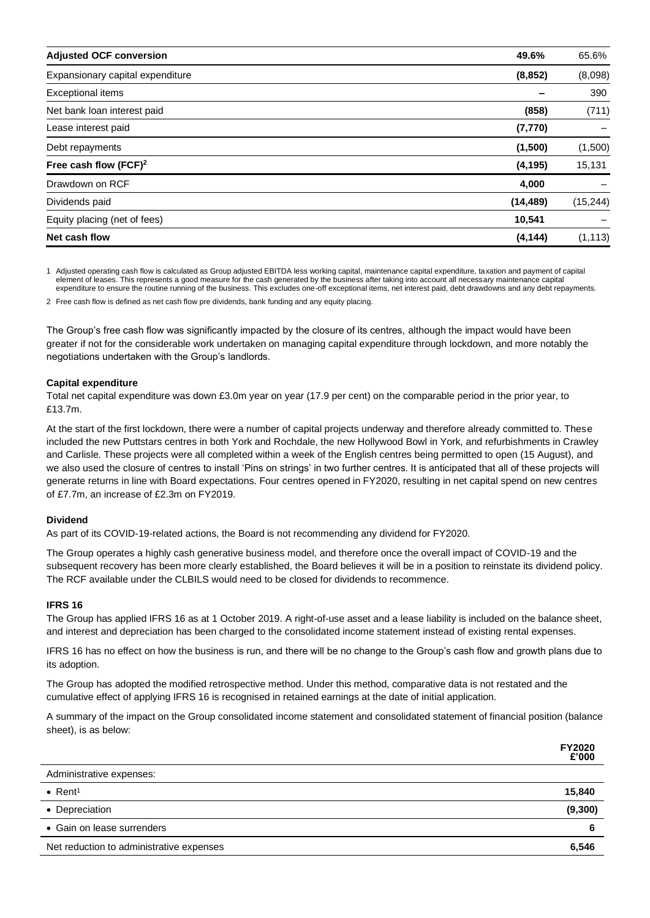| <b>Adjusted OCF conversion</b>   | 49.6%     | 65.6%     |
|----------------------------------|-----------|-----------|
| Expansionary capital expenditure | (8, 852)  | (8,098)   |
| <b>Exceptional items</b>         |           | 390       |
| Net bank loan interest paid      | (858)     | (711)     |
| Lease interest paid              | (7, 770)  |           |
| Debt repayments                  | (1,500)   | (1,500)   |
| Free cash flow $(FCF)^2$         | (4, 195)  | 15,131    |
| Drawdown on RCF                  | 4,000     |           |
| Dividends paid                   | (14, 489) | (15, 244) |
| Equity placing (net of fees)     | 10,541    |           |
| Net cash flow                    | (4, 144)  | (1, 113)  |

1 Adjusted operating cash flow is calculated as Group adjusted EBITDA less working capital, maintenance capital expenditure, taxation and payment of capital element of leases. This represents a good measure for the cash generated by the business after taking into account all necessary maintenance capital expenditure to ensure the routine running of the business. This excludes one-off exceptional items, net interest paid, debt drawdowns and any debt repayments.

2 Free cash flow is defined as net cash flow pre dividends, bank funding and any equity placing.

The Group's free cash flow was significantly impacted by the closure of its centres, although the impact would have been greater if not for the considerable work undertaken on managing capital expenditure through lockdown, and more notably the negotiations undertaken with the Group's landlords.

#### **Capital expenditure**

Total net capital expenditure was down £3.0m year on year (17.9 per cent) on the comparable period in the prior year, to £13.7m.

At the start of the first lockdown, there were a number of capital projects underway and therefore already committed to. These included the new Puttstars centres in both York and Rochdale, the new Hollywood Bowl in York, and refurbishments in Crawley and Carlisle. These projects were all completed within a week of the English centres being permitted to open (15 August), and we also used the closure of centres to install 'Pins on strings' in two further centres. It is anticipated that all of these projects will generate returns in line with Board expectations. Four centres opened in FY2020, resulting in net capital spend on new centres of £7.7m, an increase of £2.3m on FY2019.

#### **Dividend**

As part of its COVID-19-related actions, the Board is not recommending any dividend for FY2020.

The Group operates a highly cash generative business model, and therefore once the overall impact of COVID-19 and the subsequent recovery has been more clearly established, the Board believes it will be in a position to reinstate its dividend policy. The RCF available under the CLBILS would need to be closed for dividends to recommence.

#### **IFRS 16**

The Group has applied IFRS 16 as at 1 October 2019. A right-of-use asset and a lease liability is included on the balance sheet, and interest and depreciation has been charged to the consolidated income statement instead of existing rental expenses.

IFRS 16 has no effect on how the business is run, and there will be no change to the Group's cash flow and growth plans due to its adoption.

The Group has adopted the modified retrospective method. Under this method, comparative data is not restated and the cumulative effect of applying IFRS 16 is recognised in retained earnings at the date of initial application.

A summary of the impact on the Group consolidated income statement and consolidated statement of financial position (balance sheet), is as below:

|                                          | <b>FY2020</b><br>£'000 |
|------------------------------------------|------------------------|
| Administrative expenses:                 |                        |
| $\bullet$ Rent <sup>1</sup>              | 15,840                 |
| • Depreciation                           | (9,300)                |
| • Gain on lease surrenders               | 6                      |
| Net reduction to administrative expenses | 6,546                  |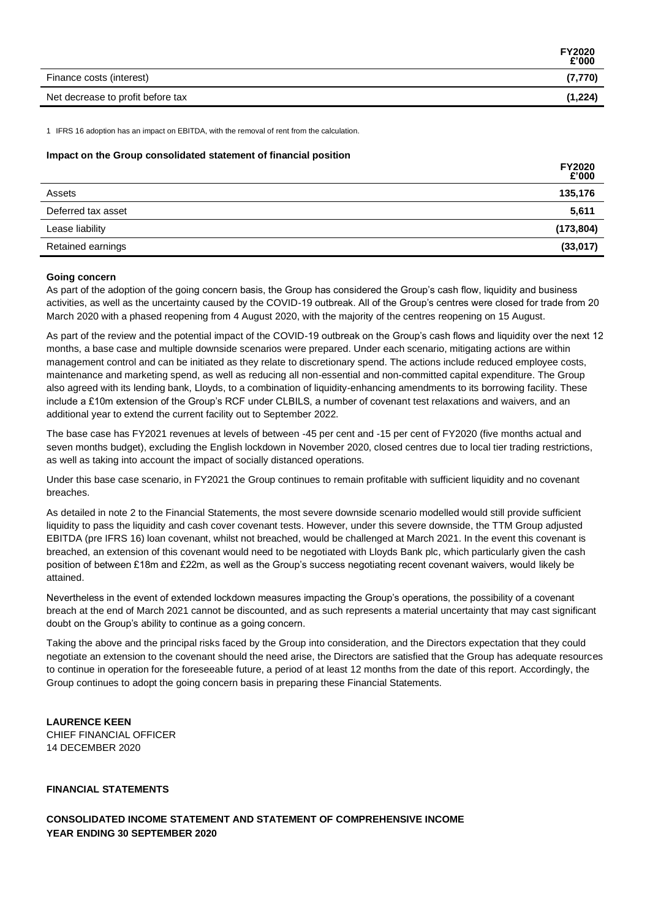|                                   | <b>FY2020</b><br>£'000 |
|-----------------------------------|------------------------|
| Finance costs (interest)          | (7,770)                |
| Net decrease to profit before tax | (1,224)                |

1 IFRS 16 adoption has an impact on EBITDA, with the removal of rent from the calculation.

### **Impact on the Group consolidated statement of financial position**

|                    | <b>FY2020</b><br>£'000 |
|--------------------|------------------------|
| Assets             | 135,176                |
| Deferred tax asset | 5,611                  |
| Lease liability    | (173, 804)             |
| Retained earnings  | (33,017)               |

## **Going concern**

As part of the adoption of the going concern basis, the Group has considered the Group's cash flow, liquidity and business activities, as well as the uncertainty caused by the COVID-19 outbreak. All of the Group's centres were closed for trade from 20 March 2020 with a phased reopening from 4 August 2020, with the majority of the centres reopening on 15 August.

As part of the review and the potential impact of the COVID-19 outbreak on the Group's cash flows and liquidity over the next 12 months, a base case and multiple downside scenarios were prepared. Under each scenario, mitigating actions are within management control and can be initiated as they relate to discretionary spend. The actions include reduced employee costs, maintenance and marketing spend, as well as reducing all non-essential and non-committed capital expenditure. The Group also agreed with its lending bank, Lloyds, to a combination of liquidity-enhancing amendments to its borrowing facility. These include a £10m extension of the Group's RCF under CLBILS, a number of covenant test relaxations and waivers, and an additional year to extend the current facility out to September 2022.

The base case has FY2021 revenues at levels of between -45 per cent and -15 per cent of FY2020 (five months actual and seven months budget), excluding the English lockdown in November 2020, closed centres due to local tier trading restrictions, as well as taking into account the impact of socially distanced operations.

Under this base case scenario, in FY2021 the Group continues to remain profitable with sufficient liquidity and no covenant breaches.

As detailed in note 2 to the Financial Statements, the most severe downside scenario modelled would still provide sufficient liquidity to pass the liquidity and cash cover covenant tests. However, under this severe downside, the TTM Group adjusted EBITDA (pre IFRS 16) loan covenant, whilst not breached, would be challenged at March 2021. In the event this covenant is breached, an extension of this covenant would need to be negotiated with Lloyds Bank plc, which particularly given the cash position of between £18m and £22m, as well as the Group's success negotiating recent covenant waivers, would likely be attained.

Nevertheless in the event of extended lockdown measures impacting the Group's operations, the possibility of a covenant breach at the end of March 2021 cannot be discounted, and as such represents a material uncertainty that may cast significant doubt on the Group's ability to continue as a going concern.

Taking the above and the principal risks faced by the Group into consideration, and the Directors expectation that they could negotiate an extension to the covenant should the need arise, the Directors are satisfied that the Group has adequate resources to continue in operation for the foreseeable future, a period of at least 12 months from the date of this report. Accordingly, the Group continues to adopt the going concern basis in preparing these Financial Statements.

**LAURENCE KEEN** CHIEF FINANCIAL OFFICER 14 DECEMBER 2020

# **FINANCIAL STATEMENTS**

**CONSOLIDATED INCOME STATEMENT AND STATEMENT OF COMPREHENSIVE INCOME YEAR ENDING 30 SEPTEMBER 2020**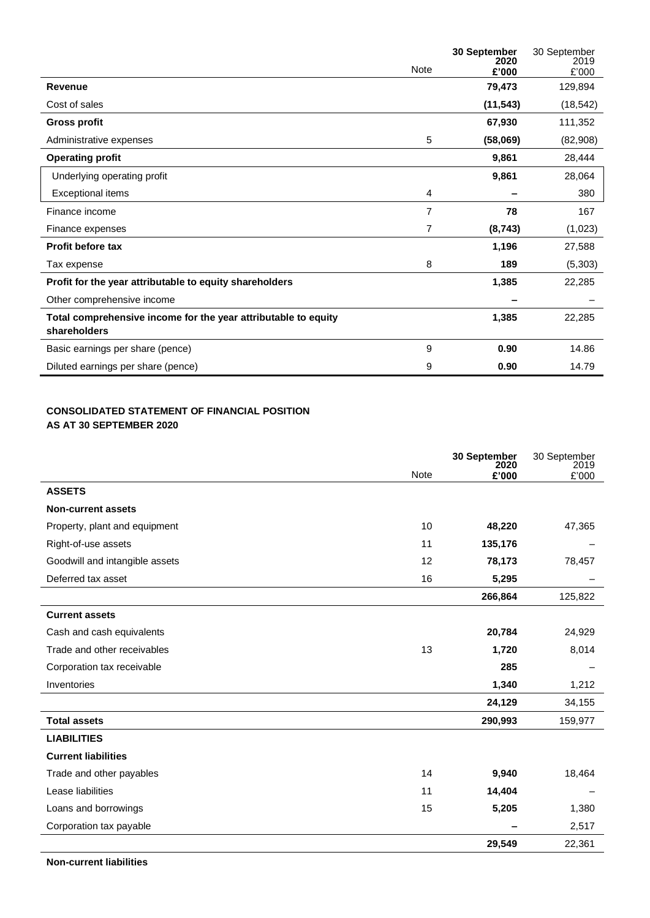|                                                                                |             | 30 September<br>2020 | 30 September<br>2019 |
|--------------------------------------------------------------------------------|-------------|----------------------|----------------------|
|                                                                                | <b>Note</b> | £'000                | £'000                |
| Revenue                                                                        |             | 79,473               | 129,894              |
| Cost of sales                                                                  |             | (11, 543)            | (18, 542)            |
| <b>Gross profit</b>                                                            |             | 67,930               | 111,352              |
| Administrative expenses                                                        | 5           | (58,069)             | (82,908)             |
| <b>Operating profit</b>                                                        |             | 9,861                | 28,444               |
| Underlying operating profit                                                    |             | 9,861                | 28,064               |
| <b>Exceptional items</b>                                                       | 4           |                      | 380                  |
| Finance income                                                                 | 7           | 78                   | 167                  |
| Finance expenses                                                               | 7           | (8, 743)             | (1,023)              |
| <b>Profit before tax</b>                                                       |             | 1,196                | 27,588               |
| Tax expense                                                                    | 8           | 189                  | (5,303)              |
| Profit for the year attributable to equity shareholders                        |             | 1,385                | 22,285               |
| Other comprehensive income                                                     |             |                      |                      |
| Total comprehensive income for the year attributable to equity<br>shareholders |             | 1,385                | 22,285               |
| Basic earnings per share (pence)                                               | 9           | 0.90                 | 14.86                |
| Diluted earnings per share (pence)                                             | 9           | 0.90                 | 14.79                |

# **CONSOLIDATED STATEMENT OF FINANCIAL POSITION AS AT 30 SEPTEMBER 2020**

|                                |             | 30 September<br>2020 | 30 September<br>2019 |
|--------------------------------|-------------|----------------------|----------------------|
|                                | <b>Note</b> | £'000                | £'000                |
| <b>ASSETS</b>                  |             |                      |                      |
| <b>Non-current assets</b>      |             |                      |                      |
| Property, plant and equipment  | 10          | 48,220               | 47,365               |
| Right-of-use assets            | 11          | 135,176              |                      |
| Goodwill and intangible assets | 12          | 78,173               | 78,457               |
| Deferred tax asset             | 16          | 5,295                |                      |
|                                |             | 266,864              | 125,822              |
| <b>Current assets</b>          |             |                      |                      |
| Cash and cash equivalents      |             | 20,784               | 24,929               |
| Trade and other receivables    | 13          | 1,720                | 8,014                |
| Corporation tax receivable     |             | 285                  |                      |
| Inventories                    |             | 1,340                | 1,212                |
|                                |             | 24,129               | 34,155               |
| <b>Total assets</b>            |             | 290,993              | 159,977              |
| <b>LIABILITIES</b>             |             |                      |                      |
| <b>Current liabilities</b>     |             |                      |                      |
| Trade and other payables       | 14          | 9,940                | 18,464               |
| Lease liabilities              | 11          | 14,404               |                      |
| Loans and borrowings           | 15          | 5,205                | 1,380                |
| Corporation tax payable        |             |                      | 2,517                |
|                                |             | 29,549               | 22,361               |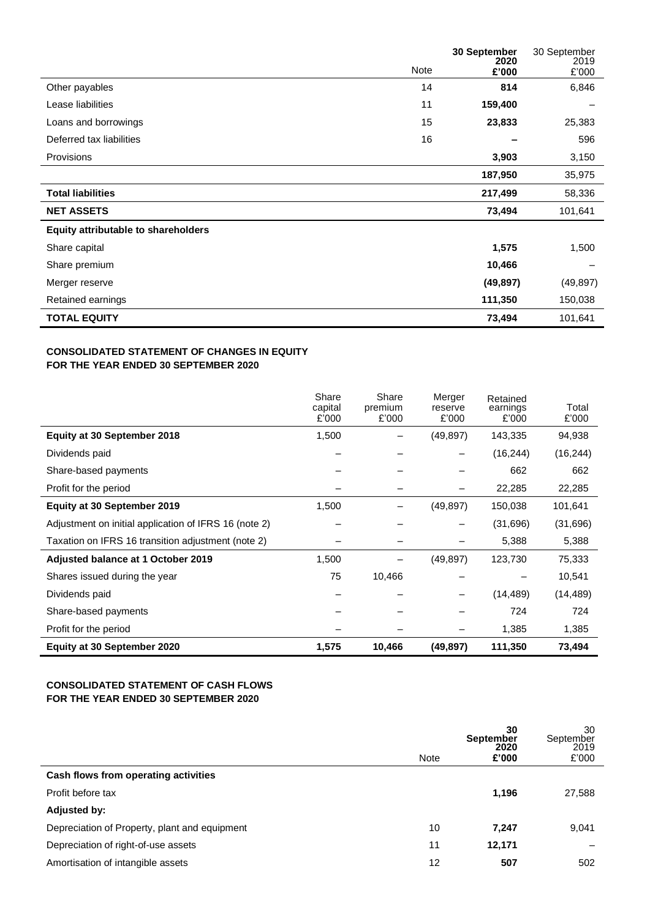|                                     |      | 30 September<br>2020 | 30 September<br>2019 |
|-------------------------------------|------|----------------------|----------------------|
|                                     | Note | £'000                | £'000                |
| Other payables                      | 14   | 814                  | 6,846                |
| Lease liabilities                   | 11   | 159,400              |                      |
| Loans and borrowings                | 15   | 23,833               | 25,383               |
| Deferred tax liabilities            | 16   |                      | 596                  |
| Provisions                          |      | 3,903                | 3,150                |
|                                     |      | 187,950              | 35,975               |
| <b>Total liabilities</b>            |      | 217,499              | 58,336               |
| <b>NET ASSETS</b>                   |      | 73,494               | 101,641              |
| Equity attributable to shareholders |      |                      |                      |
| Share capital                       |      | 1,575                | 1,500                |
| Share premium                       |      | 10,466               |                      |
| Merger reserve                      |      | (49, 897)            | (49, 897)            |
| Retained earnings                   |      | 111,350              | 150,038              |
| <b>TOTAL EQUITY</b>                 |      | 73,494               | 101,641              |

# **CONSOLIDATED STATEMENT OF CHANGES IN EQUITY FOR THE YEAR ENDED 30 SEPTEMBER 2020**

|                                                       | Share<br>capital<br>£'000 | Share<br>premium<br>£'000 | Merger<br>reserve<br>£'000 | Retained<br>earnings<br>£'000 | Total<br>£'000 |
|-------------------------------------------------------|---------------------------|---------------------------|----------------------------|-------------------------------|----------------|
| Equity at 30 September 2018                           | 1,500                     |                           | (49, 897)                  | 143,335                       | 94,938         |
| Dividends paid                                        |                           |                           |                            | (16, 244)                     | (16, 244)      |
| Share-based payments                                  |                           |                           |                            | 662                           | 662            |
| Profit for the period                                 |                           |                           |                            | 22,285                        | 22,285         |
| Equity at 30 September 2019                           | 1,500                     |                           | (49, 897)                  | 150,038                       | 101,641        |
| Adjustment on initial application of IFRS 16 (note 2) |                           |                           |                            | (31,696)                      | (31,696)       |
| Taxation on IFRS 16 transition adjustment (note 2)    |                           |                           |                            | 5,388                         | 5,388          |
| Adjusted balance at 1 October 2019                    | 1,500                     |                           | (49, 897)                  | 123,730                       | 75,333         |
| Shares issued during the year                         | 75                        | 10,466                    |                            |                               | 10,541         |
| Dividends paid                                        |                           |                           |                            | (14, 489)                     | (14, 489)      |
| Share-based payments                                  |                           |                           |                            | 724                           | 724            |
| Profit for the period                                 |                           |                           |                            | 1,385                         | 1,385          |
| Equity at 30 September 2020                           | 1,575                     | 10,466                    | (49, 897)                  | 111,350                       | 73,494         |

# **CONSOLIDATED STATEMENT OF CASH FLOWS FOR THE YEAR ENDED 30 SEPTEMBER 2020**

|                                               | Note | 30<br><b>September</b><br>2020<br>£'000 | 30<br>September<br>2019<br>£'000 |
|-----------------------------------------------|------|-----------------------------------------|----------------------------------|
| Cash flows from operating activities          |      |                                         |                                  |
| Profit before tax                             |      | 1,196                                   | 27,588                           |
| <b>Adjusted by:</b>                           |      |                                         |                                  |
| Depreciation of Property, plant and equipment | 10   | 7.247                                   | 9,041                            |
| Depreciation of right-of-use assets           | 11   | 12,171                                  |                                  |
| Amortisation of intangible assets             | 12   | 507                                     | 502                              |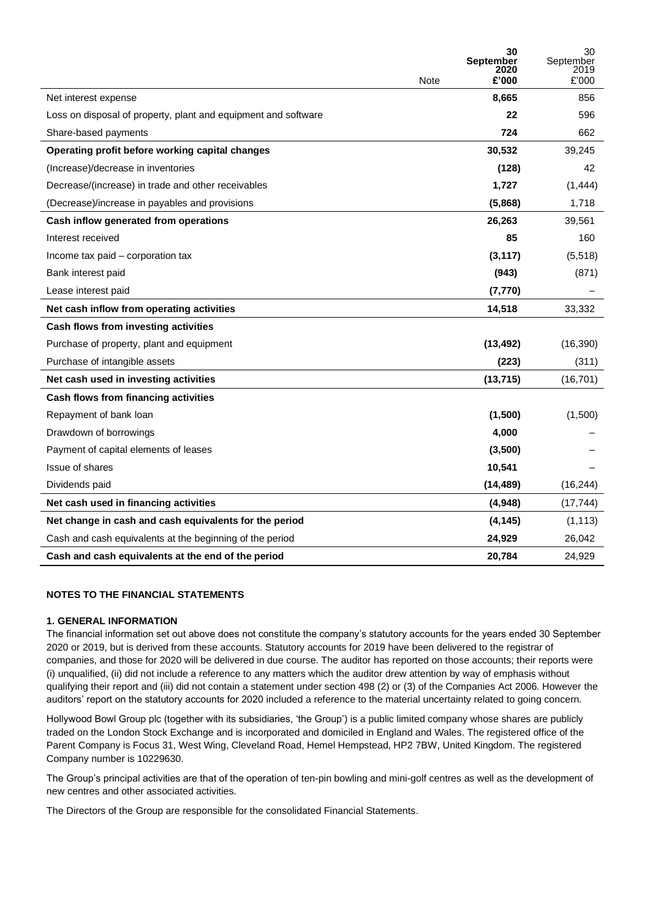|                                                                |      | 30<br>September<br>2020 | 30<br>September<br>2019 |
|----------------------------------------------------------------|------|-------------------------|-------------------------|
|                                                                | Note | £'000                   | £'000                   |
| Net interest expense                                           |      | 8,665                   | 856                     |
| Loss on disposal of property, plant and equipment and software |      | 22                      | 596                     |
| Share-based payments                                           |      | 724                     | 662                     |
| Operating profit before working capital changes                |      | 30,532                  | 39,245                  |
| (Increase)/decrease in inventories                             |      | (128)                   | 42                      |
| Decrease/(increase) in trade and other receivables             |      | 1,727                   | (1,444)                 |
| (Decrease)/increase in payables and provisions                 |      | (5,868)                 | 1,718                   |
| Cash inflow generated from operations                          |      | 26,263                  | 39,561                  |
| Interest received                                              |      | 85                      | 160                     |
| Income tax paid - corporation tax                              |      | (3, 117)                | (5,518)                 |
| Bank interest paid                                             |      | (943)                   | (871)                   |
| Lease interest paid                                            |      | (7, 770)                |                         |
| Net cash inflow from operating activities                      |      | 14,518                  | 33,332                  |
| Cash flows from investing activities                           |      |                         |                         |
| Purchase of property, plant and equipment                      |      | (13, 492)               | (16, 390)               |
| Purchase of intangible assets                                  |      | (223)                   | (311)                   |
| Net cash used in investing activities                          |      | (13, 715)               | (16, 701)               |
| Cash flows from financing activities                           |      |                         |                         |
| Repayment of bank loan                                         |      | (1,500)                 | (1,500)                 |
| Drawdown of borrowings                                         |      | 4,000                   |                         |
| Payment of capital elements of leases                          |      | (3,500)                 |                         |
| Issue of shares                                                |      | 10,541                  |                         |
| Dividends paid                                                 |      | (14, 489)               | (16, 244)               |
| Net cash used in financing activities                          |      | (4,948)                 | (17, 744)               |
| Net change in cash and cash equivalents for the period         |      | (4, 145)                | (1, 113)                |
| Cash and cash equivalents at the beginning of the period       |      | 24,929                  | 26,042                  |
| Cash and cash equivalents at the end of the period             |      | 20,784                  | 24,929                  |

# **NOTES TO THE FINANCIAL STATEMENTS**

# **1. GENERAL INFORMATION**

The financial information set out above does not constitute the company's statutory accounts for the years ended 30 September 2020 or 2019, but is derived from these accounts. Statutory accounts for 2019 have been delivered to the registrar of companies, and those for 2020 will be delivered in due course. The auditor has reported on those accounts; their reports were (i) unqualified, (ii) did not include a reference to any matters which the auditor drew attention by way of emphasis without qualifying their report and (iii) did not contain a statement under section 498 (2) or (3) of the Companies Act 2006. However the auditors' report on the statutory accounts for 2020 included a reference to the material uncertainty related to going concern.

Hollywood Bowl Group plc (together with its subsidiaries, 'the Group') is a public limited company whose shares are publicly traded on the London Stock Exchange and is incorporated and domiciled in England and Wales. The registered office of the Parent Company is Focus 31, West Wing, Cleveland Road, Hemel Hempstead, HP2 7BW, United Kingdom. The registered Company number is 10229630.

The Group's principal activities are that of the operation of ten-pin bowling and mini-golf centres as well as the development of new centres and other associated activities.

The Directors of the Group are responsible for the consolidated Financial Statements.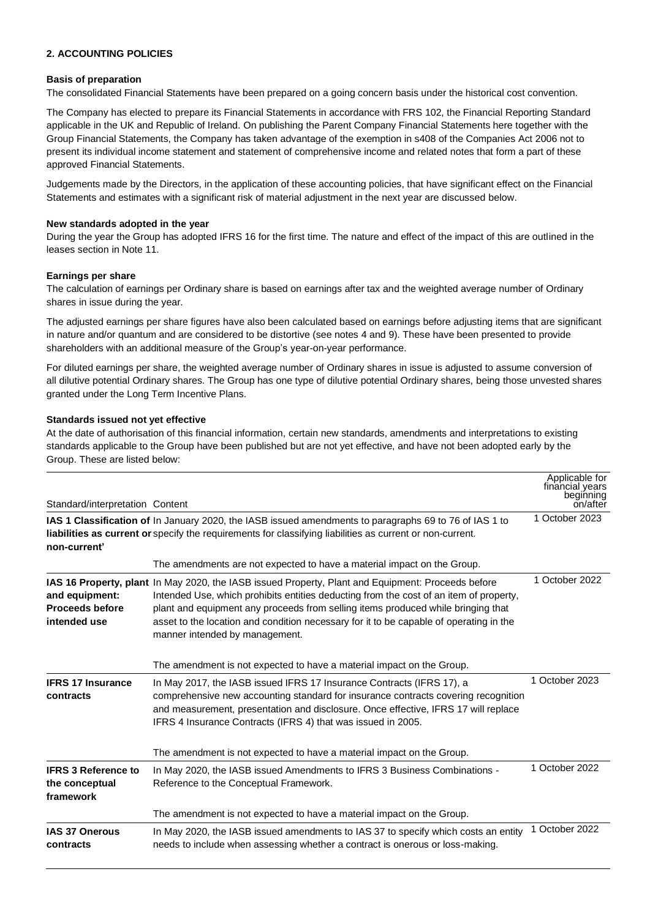# **2. ACCOUNTING POLICIES**

## **Basis of preparation**

The consolidated Financial Statements have been prepared on a going concern basis under the historical cost convention.

The Company has elected to prepare its Financial Statements in accordance with FRS 102, the Financial Reporting Standard applicable in the UK and Republic of Ireland. On publishing the Parent Company Financial Statements here together with the Group Financial Statements, the Company has taken advantage of the exemption in s408 of the Companies Act 2006 not to present its individual income statement and statement of comprehensive income and related notes that form a part of these approved Financial Statements.

Judgements made by the Directors, in the application of these accounting policies, that have significant effect on the Financial Statements and estimates with a significant risk of material adjustment in the next year are discussed below.

#### **New standards adopted in the year**

During the year the Group has adopted IFRS 16 for the first time. The nature and effect of the impact of this are outlined in the leases section in Note 11.

#### **Earnings per share**

The calculation of earnings per Ordinary share is based on earnings after tax and the weighted average number of Ordinary shares in issue during the year.

The adjusted earnings per share figures have also been calculated based on earnings before adjusting items that are significant in nature and/or quantum and are considered to be distortive (see notes 4 and 9). These have been presented to provide shareholders with an additional measure of the Group's year-on-year performance.

For diluted earnings per share, the weighted average number of Ordinary shares in issue is adjusted to assume conversion of all dilutive potential Ordinary shares. The Group has one type of dilutive potential Ordinary shares, being those unvested shares granted under the Long Term Incentive Plans.

#### **Standards issued not yet effective**

At the date of authorisation of this financial information, certain new standards, amendments and interpretations to existing standards applicable to the Group have been published but are not yet effective, and have not been adopted early by the Group. These are listed below:

| Standard/interpretation Content                           |                                                                                                                                                                                                                                                                                                                                                                                                              | Applicable for<br>financial years<br>beginning<br>on/after |
|-----------------------------------------------------------|--------------------------------------------------------------------------------------------------------------------------------------------------------------------------------------------------------------------------------------------------------------------------------------------------------------------------------------------------------------------------------------------------------------|------------------------------------------------------------|
| non-current'                                              | IAS 1 Classification of In January 2020, the IASB issued amendments to paragraphs 69 to 76 of IAS 1 to<br>liabilities as current or specify the requirements for classifying liabilities as current or non-current.                                                                                                                                                                                          | 1 October 2023                                             |
|                                                           | The amendments are not expected to have a material impact on the Group.                                                                                                                                                                                                                                                                                                                                      |                                                            |
| and equipment:<br><b>Proceeds before</b><br>intended use  | IAS 16 Property, plant In May 2020, the IASB issued Property, Plant and Equipment: Proceeds before<br>Intended Use, which prohibits entities deducting from the cost of an item of property,<br>plant and equipment any proceeds from selling items produced while bringing that<br>asset to the location and condition necessary for it to be capable of operating in the<br>manner intended by management. | 1 October 2022                                             |
|                                                           | The amendment is not expected to have a material impact on the Group.                                                                                                                                                                                                                                                                                                                                        |                                                            |
| <b>IFRS 17 Insurance</b><br>contracts                     | In May 2017, the IASB issued IFRS 17 Insurance Contracts (IFRS 17), a<br>comprehensive new accounting standard for insurance contracts covering recognition<br>and measurement, presentation and disclosure. Once effective, IFRS 17 will replace<br>IFRS 4 Insurance Contracts (IFRS 4) that was issued in 2005.                                                                                            | 1 October 2023                                             |
|                                                           | The amendment is not expected to have a material impact on the Group.                                                                                                                                                                                                                                                                                                                                        |                                                            |
| <b>IFRS 3 Reference to</b><br>the conceptual<br>framework | In May 2020, the IASB issued Amendments to IFRS 3 Business Combinations -<br>Reference to the Conceptual Framework.                                                                                                                                                                                                                                                                                          | 1 October 2022                                             |
|                                                           | The amendment is not expected to have a material impact on the Group.                                                                                                                                                                                                                                                                                                                                        |                                                            |
| <b>IAS 37 Onerous</b><br>contracts                        | In May 2020, the IASB issued amendments to IAS 37 to specify which costs an entity<br>needs to include when assessing whether a contract is onerous or loss-making.                                                                                                                                                                                                                                          | 1 October 2022                                             |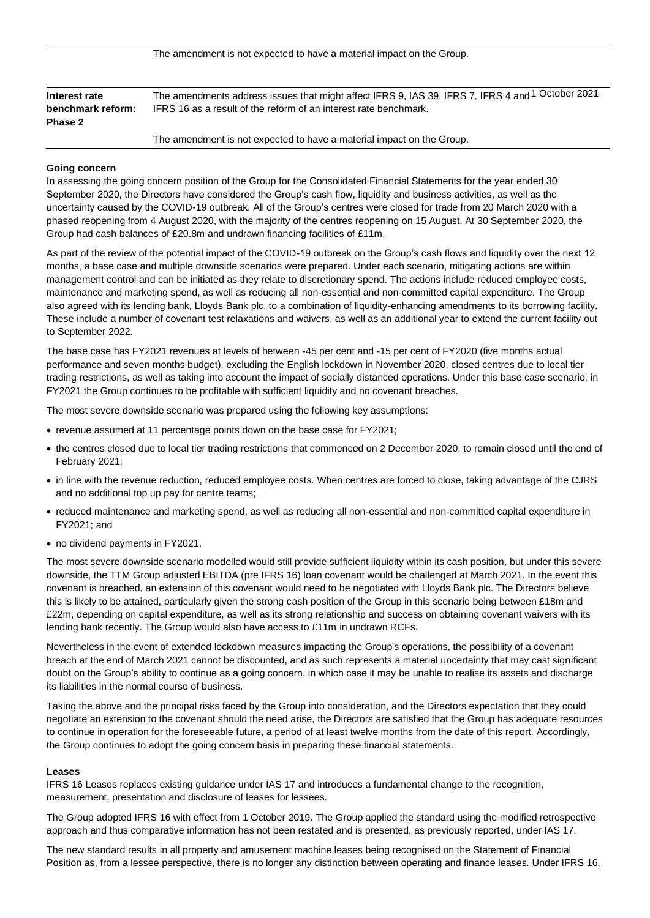| Interest rate     | The amendments address issues that might affect IFRS 9, IAS 39, IFRS 7, IFRS 4 and 1 October 2021 |  |  |  |
|-------------------|---------------------------------------------------------------------------------------------------|--|--|--|
| benchmark reform: | IFRS 16 as a result of the reform of an interest rate benchmark.                                  |  |  |  |
| Phase 2           |                                                                                                   |  |  |  |
|                   |                                                                                                   |  |  |  |

The amendment is not expected to have a material impact on the Group.

#### **Going concern**

In assessing the going concern position of the Group for the Consolidated Financial Statements for the year ended 30 September 2020, the Directors have considered the Group's cash flow, liquidity and business activities, as well as the uncertainty caused by the COVID-19 outbreak. All of the Group's centres were closed for trade from 20 March 2020 with a phased reopening from 4 August 2020, with the majority of the centres reopening on 15 August. At 30 September 2020, the Group had cash balances of £20.8m and undrawn financing facilities of £11m.

As part of the review of the potential impact of the COVID-19 outbreak on the Group's cash flows and liquidity over the next 12 months, a base case and multiple downside scenarios were prepared. Under each scenario, mitigating actions are within management control and can be initiated as they relate to discretionary spend. The actions include reduced employee costs, maintenance and marketing spend, as well as reducing all non-essential and non-committed capital expenditure. The Group also agreed with its lending bank, Lloyds Bank plc, to a combination of liquidity-enhancing amendments to its borrowing facility. These include a number of covenant test relaxations and waivers, as well as an additional year to extend the current facility out to September 2022.

The base case has FY2021 revenues at levels of between -45 per cent and -15 per cent of FY2020 (five months actual performance and seven months budget), excluding the English lockdown in November 2020, closed centres due to local tier trading restrictions, as well as taking into account the impact of socially distanced operations. Under this base case scenario, in FY2021 the Group continues to be profitable with sufficient liquidity and no covenant breaches.

The most severe downside scenario was prepared using the following key assumptions:

- revenue assumed at 11 percentage points down on the base case for FY2021;
- the centres closed due to local tier trading restrictions that commenced on 2 December 2020, to remain closed until the end of February 2021;
- in line with the revenue reduction, reduced employee costs. When centres are forced to close, taking advantage of the CJRS and no additional top up pay for centre teams;
- reduced maintenance and marketing spend, as well as reducing all non-essential and non-committed capital expenditure in FY2021; and
- no dividend payments in FY2021.

The most severe downside scenario modelled would still provide sufficient liquidity within its cash position, but under this severe downside, the TTM Group adjusted EBITDA (pre IFRS 16) loan covenant would be challenged at March 2021. In the event this covenant is breached, an extension of this covenant would need to be negotiated with Lloyds Bank plc. The Directors believe this is likely to be attained, particularly given the strong cash position of the Group in this scenario being between £18m and £22m, depending on capital expenditure, as well as its strong relationship and success on obtaining covenant waivers with its lending bank recently. The Group would also have access to £11m in undrawn RCFs.

Nevertheless in the event of extended lockdown measures impacting the Group's operations, the possibility of a covenant breach at the end of March 2021 cannot be discounted, and as such represents a material uncertainty that may cast significant doubt on the Group's ability to continue as a going concern, in which case it may be unable to realise its assets and discharge its liabilities in the normal course of business.

Taking the above and the principal risks faced by the Group into consideration, and the Directors expectation that they could negotiate an extension to the covenant should the need arise, the Directors are satisfied that the Group has adequate resources to continue in operation for the foreseeable future, a period of at least twelve months from the date of this report. Accordingly, the Group continues to adopt the going concern basis in preparing these financial statements.

#### **Leases**

IFRS 16 Leases replaces existing guidance under IAS 17 and introduces a fundamental change to the recognition, measurement, presentation and disclosure of leases for lessees.

The Group adopted IFRS 16 with effect from 1 October 2019. The Group applied the standard using the modified retrospective approach and thus comparative information has not been restated and is presented, as previously reported, under IAS 17.

The new standard results in all property and amusement machine leases being recognised on the Statement of Financial Position as, from a lessee perspective, there is no longer any distinction between operating and finance leases. Under IFRS 16,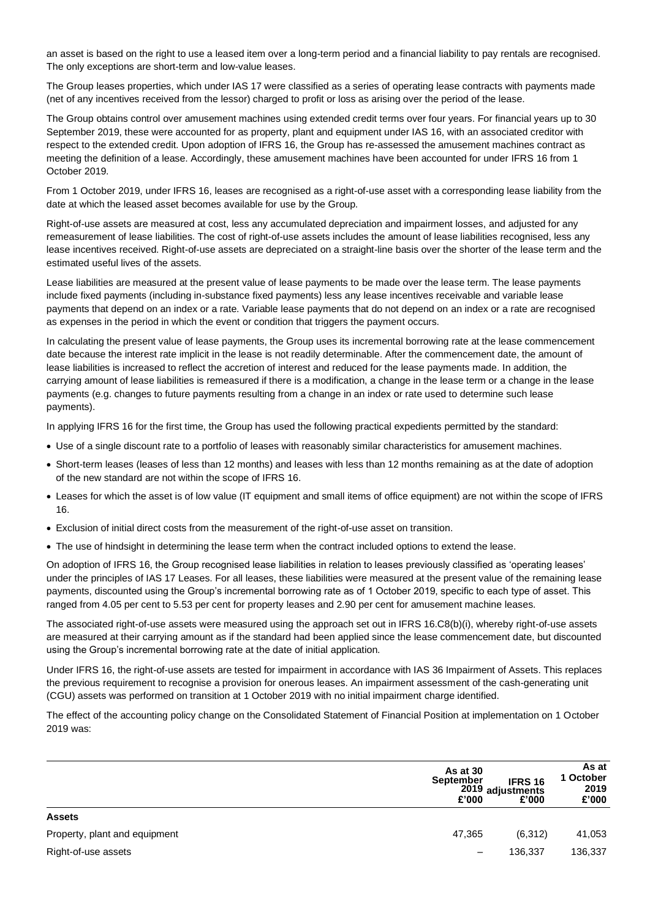an asset is based on the right to use a leased item over a long-term period and a financial liability to pay rentals are recognised. The only exceptions are short-term and low-value leases.

The Group leases properties, which under IAS 17 were classified as a series of operating lease contracts with payments made (net of any incentives received from the lessor) charged to profit or loss as arising over the period of the lease.

The Group obtains control over amusement machines using extended credit terms over four years. For financial years up to 30 September 2019, these were accounted for as property, plant and equipment under IAS 16, with an associated creditor with respect to the extended credit. Upon adoption of IFRS 16, the Group has re-assessed the amusement machines contract as meeting the definition of a lease. Accordingly, these amusement machines have been accounted for under IFRS 16 from 1 October 2019.

From 1 October 2019, under IFRS 16, leases are recognised as a right-of-use asset with a corresponding lease liability from the date at which the leased asset becomes available for use by the Group.

Right-of-use assets are measured at cost, less any accumulated depreciation and impairment losses, and adjusted for any remeasurement of lease liabilities. The cost of right-of-use assets includes the amount of lease liabilities recognised, less any lease incentives received. Right-of-use assets are depreciated on a straight-line basis over the shorter of the lease term and the estimated useful lives of the assets.

Lease liabilities are measured at the present value of lease payments to be made over the lease term. The lease payments include fixed payments (including in-substance fixed payments) less any lease incentives receivable and variable lease payments that depend on an index or a rate. Variable lease payments that do not depend on an index or a rate are recognised as expenses in the period in which the event or condition that triggers the payment occurs.

In calculating the present value of lease payments, the Group uses its incremental borrowing rate at the lease commencement date because the interest rate implicit in the lease is not readily determinable. After the commencement date, the amount of lease liabilities is increased to reflect the accretion of interest and reduced for the lease payments made. In addition, the carrying amount of lease liabilities is remeasured if there is a modification, a change in the lease term or a change in the lease payments (e.g. changes to future payments resulting from a change in an index or rate used to determine such lease payments).

In applying IFRS 16 for the first time, the Group has used the following practical expedients permitted by the standard:

- Use of a single discount rate to a portfolio of leases with reasonably similar characteristics for amusement machines.
- Short-term leases (leases of less than 12 months) and leases with less than 12 months remaining as at the date of adoption of the new standard are not within the scope of IFRS 16.
- Leases for which the asset is of low value (IT equipment and small items of office equipment) are not within the scope of IFRS 16.
- Exclusion of initial direct costs from the measurement of the right-of-use asset on transition.
- The use of hindsight in determining the lease term when the contract included options to extend the lease.

On adoption of IFRS 16, the Group recognised lease liabilities in relation to leases previously classified as 'operating leases' under the principles of IAS 17 Leases. For all leases, these liabilities were measured at the present value of the remaining lease payments, discounted using the Group's incremental borrowing rate as of 1 October 2019, specific to each type of asset. This ranged from 4.05 per cent to 5.53 per cent for property leases and 2.90 per cent for amusement machine leases.

The associated right-of-use assets were measured using the approach set out in IFRS 16.C8(b)(i), whereby right-of-use assets are measured at their carrying amount as if the standard had been applied since the lease commencement date, but discounted using the Group's incremental borrowing rate at the date of initial application.

Under IFRS 16, the right-of-use assets are tested for impairment in accordance with IAS 36 Impairment of Assets. This replaces the previous requirement to recognise a provision for onerous leases. An impairment assessment of the cash-generating unit (CGU) assets was performed on transition at 1 October 2019 with no initial impairment charge identified.

The effect of the accounting policy change on the Consolidated Statement of Financial Position at implementation on 1 October 2019 was:

|                               | As at 30<br><b>September</b><br>£'000 | <b>IFRS 16</b><br>2019 adjustments<br>£'000 | As at<br>1 October<br>2019<br>£'000 |
|-------------------------------|---------------------------------------|---------------------------------------------|-------------------------------------|
| <b>Assets</b>                 |                                       |                                             |                                     |
| Property, plant and equipment | 47,365                                | (6, 312)                                    | 41,053                              |
| Right-of-use assets           | $\overline{\phantom{m}}$              | 136,337                                     | 136,337                             |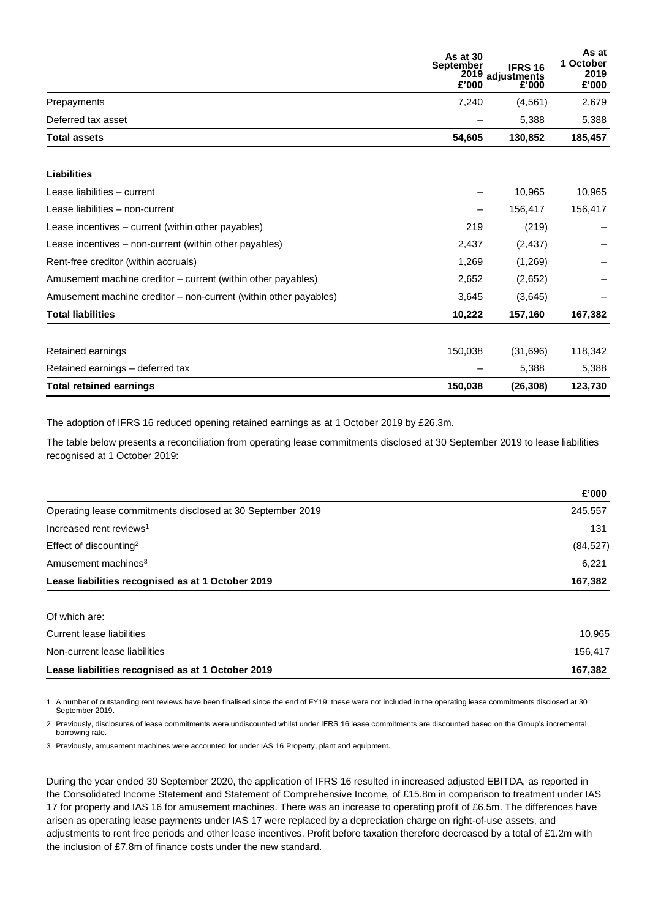|                                                                  | As at 30<br>September<br>£'000 | <b>IFRS 16</b><br>2019 adjustments<br>£'000 | As at<br>1 October<br>2019<br>£'000 |
|------------------------------------------------------------------|--------------------------------|---------------------------------------------|-------------------------------------|
| Prepayments                                                      | 7,240                          | (4,561)                                     | 2,679                               |
| Deferred tax asset                                               |                                | 5,388                                       | 5,388                               |
| <b>Total assets</b>                                              | 54,605                         | 130,852                                     | 185,457                             |
| <b>Liabilities</b>                                               |                                |                                             |                                     |
| Lease liabilities - current                                      |                                | 10,965                                      | 10,965                              |
| Lease liabilities - non-current                                  |                                | 156,417                                     | 156,417                             |
| Lease incentives – current (within other payables)               | 219                            | (219)                                       |                                     |
| Lease incentives – non-current (within other payables)           | 2,437                          | (2, 437)                                    |                                     |
| Rent-free creditor (within accruals)                             | 1,269                          | (1,269)                                     |                                     |
| Amusement machine creditor – current (within other payables)     | 2,652                          | (2,652)                                     |                                     |
| Amusement machine creditor – non-current (within other payables) | 3,645                          | (3,645)                                     |                                     |
| <b>Total liabilities</b>                                         | 10,222                         | 157,160                                     | 167,382                             |
| Retained earnings                                                | 150,038                        | (31,696)                                    | 118,342                             |
| Retained earnings – deferred tax                                 |                                | 5,388                                       | 5,388                               |
| <b>Total retained earnings</b>                                   | 150,038                        | (26, 308)                                   | 123,730                             |

The adoption of IFRS 16 reduced opening retained earnings as at 1 October 2019 by £26.3m.

The table below presents a reconciliation from operating lease commitments disclosed at 30 September 2019 to lease liabilities recognised at 1 October 2019:

|                                                            | £'000     |
|------------------------------------------------------------|-----------|
| Operating lease commitments disclosed at 30 September 2019 | 245.557   |
| Increased rent reviews <sup>1</sup>                        | 131       |
| Effect of discounting <sup>2</sup>                         | (84, 527) |
| Amusement machines <sup>3</sup>                            | 6.221     |
| Lease liabilities recognised as at 1 October 2019          | 167.382   |

| Lease liabilities recognised as at 1 October 2019 | 167.382 |
|---------------------------------------------------|---------|
| Non-current lease liabilities                     | 156.417 |
| Current lease liabilities                         | 10.965  |
| Of which are:                                     |         |

1 A number of outstanding rent reviews have been finalised since the end of FY19; these were not included in the operating lease commitments disclosed at 30 September 2019.

2 Previously, disclosures of lease commitments were undiscounted whilst under IFRS 16 lease commitments are discounted based on the Group's incremental borrowing rate.

3 Previously, amusement machines were accounted for under IAS 16 Property, plant and equipment.

During the year ended 30 September 2020, the application of IFRS 16 resulted in increased adjusted EBITDA, as reported in the Consolidated Income Statement and Statement of Comprehensive Income, of £15.8m in comparison to treatment under IAS 17 for property and IAS 16 for amusement machines. There was an increase to operating profit of £6.5m. The differences have arisen as operating lease payments under IAS 17 were replaced by a depreciation charge on right-of-use assets, and adjustments to rent free periods and other lease incentives. Profit before taxation therefore decreased by a total of £1.2m with the inclusion of £7.8m of finance costs under the new standard.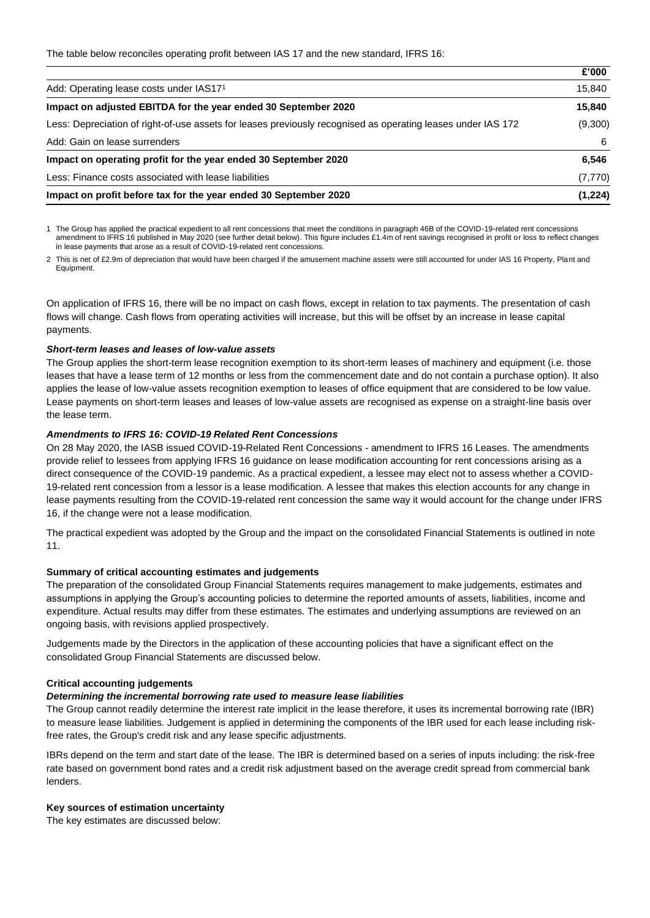|                                                                                                              | £'000    |
|--------------------------------------------------------------------------------------------------------------|----------|
| Add: Operating lease costs under IAS171                                                                      | 15,840   |
| Impact on adjusted EBITDA for the year ended 30 September 2020                                               | 15,840   |
| Less: Depreciation of right-of-use assets for leases previously recognised as operating leases under IAS 172 | (9,300)  |
| Add: Gain on lease surrenders                                                                                | 6        |
| Impact on operating profit for the year ended 30 September 2020                                              | 6,546    |
| Less: Finance costs associated with lease liabilities                                                        | (7, 770) |
| Impact on profit before tax for the year ended 30 September 2020                                             | (1, 224) |

1 The Group has applied the practical expedient to all rent concessions that meet the conditions in paragraph 46B of the COVID-19-related rent concessions amendment to IFRS 16 published in May 2020 (see further detail below). This figure includes £1.4m of rent savings recognised in profit or loss to reflect changes in lease payments that arose as a result of COVID-19-related rent concessions.

2 This is net of £2.9m of depreciation that would have been charged if the amusement machine assets were still accounted for under IAS 16 Property, Plant and Equipment.

On application of IFRS 16, there will be no impact on cash flows, except in relation to tax payments. The presentation of cash flows will change. Cash flows from operating activities will increase, but this will be offset by an increase in lease capital payments.

#### *Short-term leases and leases of low-value assets*

The Group applies the short-term lease recognition exemption to its short-term leases of machinery and equipment (i.e. those leases that have a lease term of 12 months or less from the commencement date and do not contain a purchase option). It also applies the lease of low-value assets recognition exemption to leases of office equipment that are considered to be low value. Lease payments on short-term leases and leases of low-value assets are recognised as expense on a straight-line basis over the lease term.

# *Amendments to IFRS 16: COVID-19 Related Rent Concessions*

On 28 May 2020, the IASB issued COVID-19-Related Rent Concessions - amendment to IFRS 16 Leases. The amendments provide relief to lessees from applying IFRS 16 guidance on lease modification accounting for rent concessions arising as a direct consequence of the COVID-19 pandemic. As a practical expedient, a lessee may elect not to assess whether a COVID-19-related rent concession from a lessor is a lease modification. A lessee that makes this election accounts for any change in lease payments resulting from the COVID-19-related rent concession the same way it would account for the change under IFRS 16, if the change were not a lease modification.

The practical expedient was adopted by the Group and the impact on the consolidated Financial Statements is outlined in note 11.

#### **Summary of critical accounting estimates and judgements**

The preparation of the consolidated Group Financial Statements requires management to make judgements, estimates and assumptions in applying the Group's accounting policies to determine the reported amounts of assets, liabilities, income and expenditure. Actual results may differ from these estimates. The estimates and underlying assumptions are reviewed on an ongoing basis, with revisions applied prospectively.

Judgements made by the Directors in the application of these accounting policies that have a significant effect on the consolidated Group Financial Statements are discussed below.

#### **Critical accounting judgements**

#### *Determining the incremental borrowing rate used to measure lease liabilities*

The Group cannot readily determine the interest rate implicit in the lease therefore, it uses its incremental borrowing rate (IBR) to measure lease liabilities. Judgement is applied in determining the components of the IBR used for each lease including riskfree rates, the Group's credit risk and any lease specific adjustments.

IBRs depend on the term and start date of the lease. The IBR is determined based on a series of inputs including: the risk-free rate based on government bond rates and a credit risk adjustment based on the average credit spread from commercial bank lenders.

#### **Key sources of estimation uncertainty**

The key estimates are discussed below: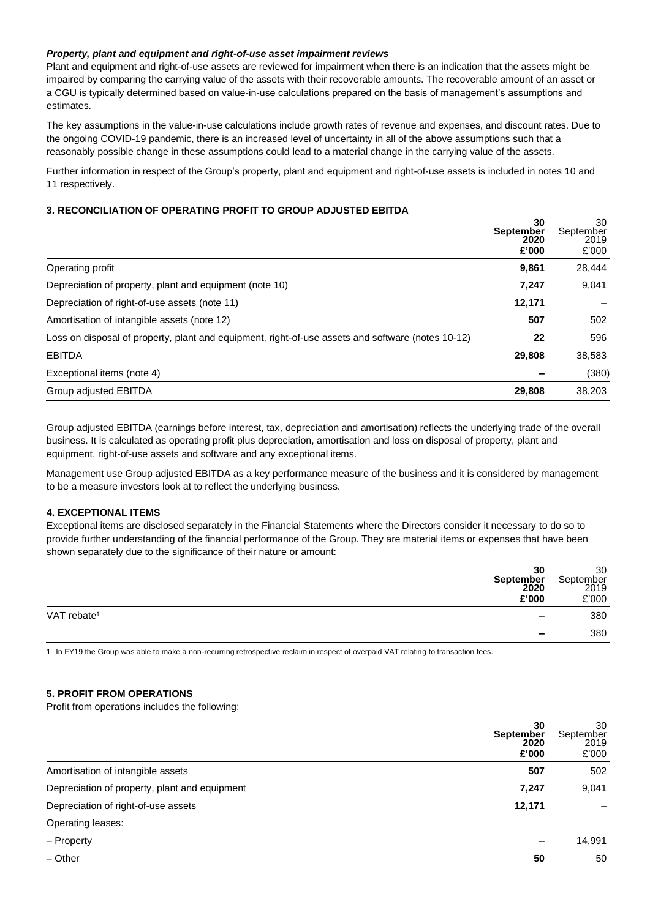# *Property, plant and equipment and right-of-use asset impairment reviews*

Plant and equipment and right-of-use assets are reviewed for impairment when there is an indication that the assets might be impaired by comparing the carrying value of the assets with their recoverable amounts. The recoverable amount of an asset or a CGU is typically determined based on value-in-use calculations prepared on the basis of management's assumptions and estimates.

The key assumptions in the value-in-use calculations include growth rates of revenue and expenses, and discount rates. Due to the ongoing COVID-19 pandemic, there is an increased level of uncertainty in all of the above assumptions such that a reasonably possible change in these assumptions could lead to a material change in the carrying value of the assets.

Further information in respect of the Group's property, plant and equipment and right-of-use assets is included in notes 10 and 11 respectively.

## **3. RECONCILIATION OF OPERATING PROFIT TO GROUP ADJUSTED EBITDA**

|                                                                                                   | 30<br><b>September</b><br>2020<br>£'000 | 30<br>September<br>2019<br>£'000 |
|---------------------------------------------------------------------------------------------------|-----------------------------------------|----------------------------------|
| Operating profit                                                                                  | 9,861                                   | 28,444                           |
| Depreciation of property, plant and equipment (note 10)                                           | 7,247                                   | 9,041                            |
| Depreciation of right-of-use assets (note 11)                                                     | 12,171                                  |                                  |
| Amortisation of intangible assets (note 12)                                                       | 507                                     | 502                              |
| Loss on disposal of property, plant and equipment, right-of-use assets and software (notes 10-12) | 22                                      | 596                              |
| <b>EBITDA</b>                                                                                     | 29,808                                  | 38,583                           |
| Exceptional items (note 4)                                                                        |                                         | (380)                            |
| Group adjusted EBITDA                                                                             | 29,808                                  | 38,203                           |

Group adjusted EBITDA (earnings before interest, tax, depreciation and amortisation) reflects the underlying trade of the overall business. It is calculated as operating profit plus depreciation, amortisation and loss on disposal of property, plant and equipment, right-of-use assets and software and any exceptional items.

Management use Group adjusted EBITDA as a key performance measure of the business and it is considered by management to be a measure investors look at to reflect the underlying business.

# **4. EXCEPTIONAL ITEMS**

Exceptional items are disclosed separately in the Financial Statements where the Directors consider it necessary to do so to provide further understanding of the financial performance of the Group. They are material items or expenses that have been shown separately due to the significance of their nature or amount:

| 30<br>September<br>2020<br>£'000                    | 30<br>September<br>2019<br>£'000 |
|-----------------------------------------------------|----------------------------------|
| VAT rebate <sup>1</sup><br>$\overline{\phantom{a}}$ | 380                              |
| $\sim$                                              | 380                              |

1 In FY19 the Group was able to make a non-recurring retrospective reclaim in respect of overpaid VAT relating to transaction fees.

#### **5. PROFIT FROM OPERATIONS**

Profit from operations includes the following:

|                                               | 30<br><b>September</b><br>2020<br>£'000 | 30<br>September<br>2019<br>£'000 |
|-----------------------------------------------|-----------------------------------------|----------------------------------|
| Amortisation of intangible assets             | 507                                     | 502                              |
| Depreciation of property, plant and equipment | 7,247                                   | 9,041                            |
| Depreciation of right-of-use assets           | 12,171                                  |                                  |
| Operating leases:                             |                                         |                                  |
| - Property                                    |                                         | 14,991                           |
| $-$ Other                                     | 50                                      | 50                               |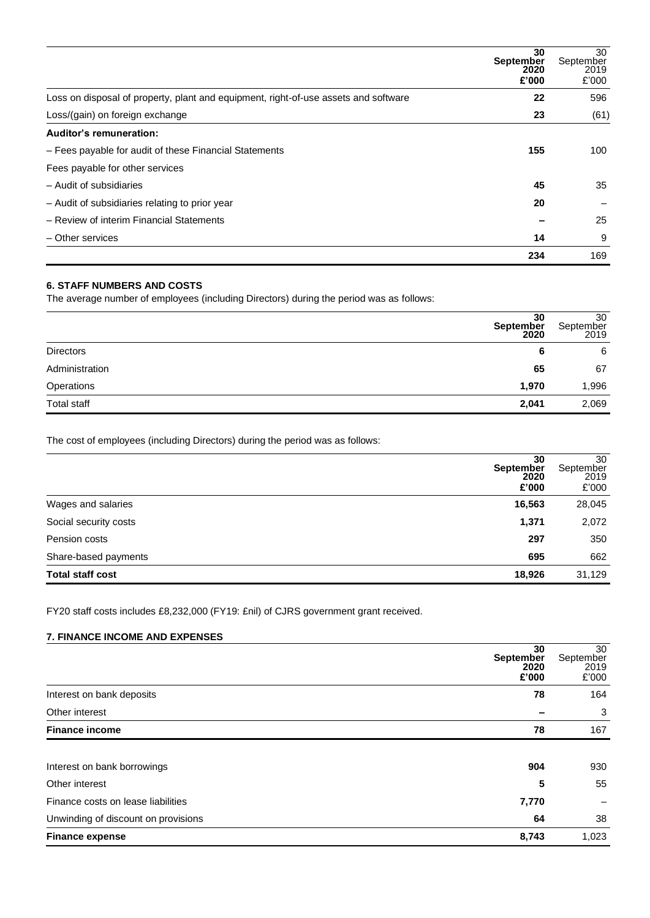|                                                                                     | 30<br><b>September</b><br>2020<br>£'000 | 30<br>September<br>2019<br>£'000 |
|-------------------------------------------------------------------------------------|-----------------------------------------|----------------------------------|
| Loss on disposal of property, plant and equipment, right-of-use assets and software | 22                                      | 596                              |
| Loss/(gain) on foreign exchange                                                     | 23                                      | (61)                             |
| Auditor's remuneration:                                                             |                                         |                                  |
| - Fees payable for audit of these Financial Statements                              | 155                                     | 100                              |
| Fees payable for other services                                                     |                                         |                                  |
| - Audit of subsidiaries                                                             | 45                                      | 35                               |
| - Audit of subsidiaries relating to prior year                                      | 20                                      |                                  |
| - Review of interim Financial Statements                                            |                                         | 25                               |
| - Other services                                                                    | 14                                      | 9                                |
|                                                                                     | 234                                     | 169                              |

# **6. STAFF NUMBERS AND COSTS**

The average number of employees (including Directors) during the period was as follows:

|                  | 30<br>September<br>2020 | 30<br>September<br>2019 |
|------------------|-------------------------|-------------------------|
| <b>Directors</b> | 6                       | 6                       |
| Administration   | 65                      | 67                      |
| Operations       | 1,970                   | 1,996                   |
| Total staff      | 2,041                   | 2,069                   |

The cost of employees (including Directors) during the period was as follows:

| <b>September</b>        | 30<br>2020<br>£'000 | 30<br>September<br>2019<br>£'000 |
|-------------------------|---------------------|----------------------------------|
| Wages and salaries      | 16,563              | 28,045                           |
| Social security costs   | 1,371               | 2,072                            |
| Pension costs           | 297                 | 350                              |
| Share-based payments    | 695                 | 662                              |
| <b>Total staff cost</b> | 18,926              | 31,129                           |

FY20 staff costs includes £8,232,000 (FY19: £nil) of CJRS government grant received.

# **7. FINANCE INCOME AND EXPENSES**

| 30<br><b>September</b><br>2020<br>£'000     | 30<br>September<br>2019<br>£'000 |
|---------------------------------------------|----------------------------------|
| Interest on bank deposits<br>78             | 164                              |
| Other interest                              | 3                                |
| <b>Finance income</b><br>78                 | 167                              |
|                                             |                                  |
| 904<br>Interest on bank borrowings          | 930                              |
| Other interest<br>5                         | 55                               |
| Finance costs on lease liabilities<br>7,770 |                                  |
| Unwinding of discount on provisions<br>64   | 38                               |
| 8,743<br><b>Finance expense</b>             | 1,023                            |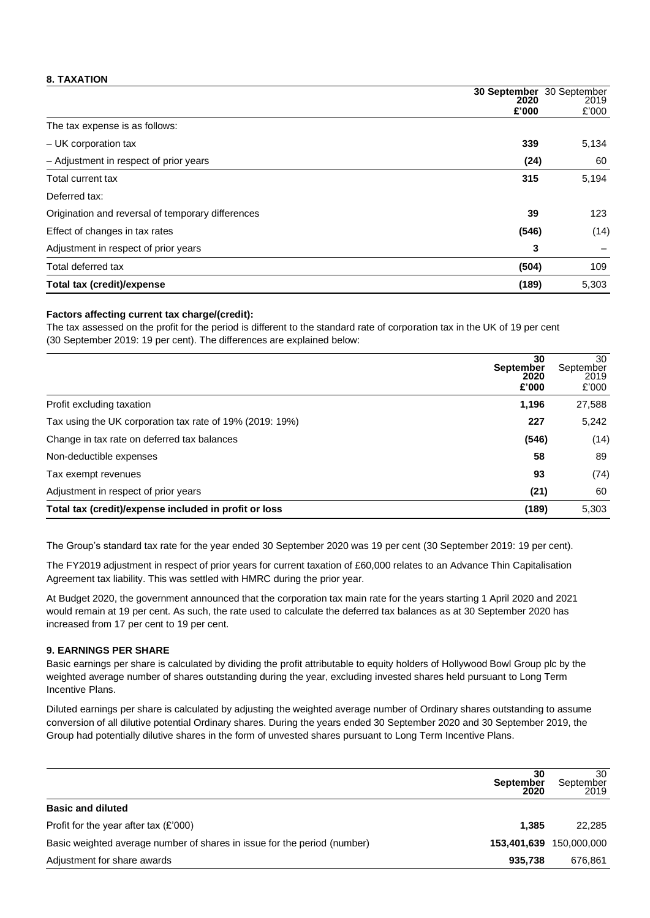# **8. TAXATION**

|                                                   | 2020  | <b>30 September</b> 30 September<br>2019 |
|---------------------------------------------------|-------|------------------------------------------|
|                                                   | £'000 | £'000                                    |
| The tax expense is as follows:                    |       |                                          |
| - UK corporation tax                              | 339   | 5,134                                    |
| - Adjustment in respect of prior years            | (24)  | 60                                       |
| Total current tax                                 | 315   | 5,194                                    |
| Deferred tax:                                     |       |                                          |
| Origination and reversal of temporary differences | 39    | 123                                      |
| Effect of changes in tax rates                    | (546) | (14)                                     |
| Adjustment in respect of prior years              | 3     |                                          |
| Total deferred tax                                | (504) | 109                                      |
| Total tax (credit)/expense                        | (189) | 5,303                                    |

## **Factors affecting current tax charge/(credit):**

The tax assessed on the profit for the period is different to the standard rate of corporation tax in the UK of 19 per cent (30 September 2019: 19 per cent). The differences are explained below:

|                                                          | 30<br><b>September</b><br>2020<br>£'000 | 30<br>September<br>2019<br>£'000 |
|----------------------------------------------------------|-----------------------------------------|----------------------------------|
| Profit excluding taxation                                | 1,196                                   | 27,588                           |
| Tax using the UK corporation tax rate of 19% (2019: 19%) | 227                                     | 5,242                            |
| Change in tax rate on deferred tax balances              | (546)                                   | (14)                             |
| Non-deductible expenses                                  | 58                                      | 89                               |
| Tax exempt revenues                                      | 93                                      | (74)                             |
| Adjustment in respect of prior years                     | (21)                                    | 60                               |
| Total tax (credit)/expense included in profit or loss    | (189)                                   | 5,303                            |

The Group's standard tax rate for the year ended 30 September 2020 was 19 per cent (30 September 2019: 19 per cent).

The FY2019 adjustment in respect of prior years for current taxation of £60,000 relates to an Advance Thin Capitalisation Agreement tax liability. This was settled with HMRC during the prior year.

At Budget 2020, the government announced that the corporation tax main rate for the years starting 1 April 2020 and 2021 would remain at 19 per cent. As such, the rate used to calculate the deferred tax balances as at 30 September 2020 has increased from 17 per cent to 19 per cent.

# **9. EARNINGS PER SHARE**

Basic earnings per share is calculated by dividing the profit attributable to equity holders of Hollywood Bowl Group plc by the weighted average number of shares outstanding during the year, excluding invested shares held pursuant to Long Term Incentive Plans.

Diluted earnings per share is calculated by adjusting the weighted average number of Ordinary shares outstanding to assume conversion of all dilutive potential Ordinary shares. During the years ended 30 September 2020 and 30 September 2019, the Group had potentially dilutive shares in the form of unvested shares pursuant to Long Term Incentive Plans.

|                                                                          | 30<br><b>September</b><br>2020 | 30<br>September<br>2019 |
|--------------------------------------------------------------------------|--------------------------------|-------------------------|
| <b>Basic and diluted</b>                                                 |                                |                         |
| Profit for the year after tax $(E'000)$                                  | 1.385                          | 22,285                  |
| Basic weighted average number of shares in issue for the period (number) |                                | 153,401,639 150,000,000 |
| Adjustment for share awards                                              | 935.738                        | 676,861                 |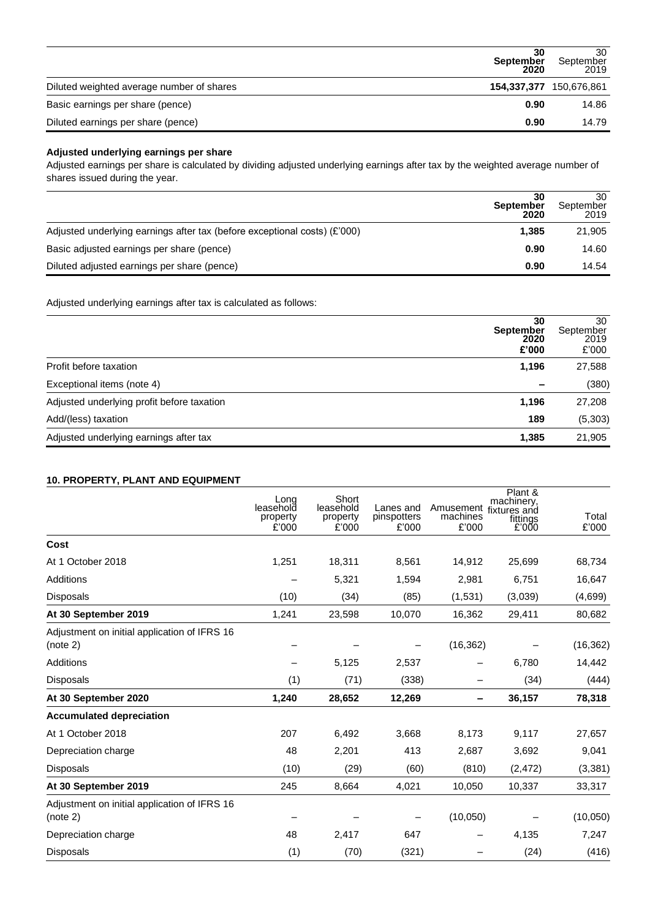|                                           | 30<br>September<br>2020 | 30<br>September<br>2019 |
|-------------------------------------------|-------------------------|-------------------------|
| Diluted weighted average number of shares |                         | 154,337,377 150,676,861 |
| Basic earnings per share (pence)          | 0.90                    | 14.86                   |
| Diluted earnings per share (pence)        | 0.90                    | 14.79                   |

# **Adjusted underlying earnings per share**

Adjusted earnings per share is calculated by dividing adjusted underlying earnings after tax by the weighted average number of shares issued during the year.

|                                                                           | 30<br>September<br>2020 | 30<br>September<br>2019 |
|---------------------------------------------------------------------------|-------------------------|-------------------------|
| Adjusted underlying earnings after tax (before exceptional costs) (£'000) | 1.385                   | 21,905                  |
| Basic adjusted earnings per share (pence)                                 | 0.90                    | 14.60                   |
| Diluted adjusted earnings per share (pence)                               | 0.90                    | 14.54                   |

Adjusted underlying earnings after tax is calculated as follows:

|                                            | 30<br><b>September</b><br>2020<br>£'000 | 30<br>September<br>2019<br>£'000 |
|--------------------------------------------|-----------------------------------------|----------------------------------|
| Profit before taxation                     | 1,196                                   | 27,588                           |
| Exceptional items (note 4)                 | $\overline{\phantom{a}}$                | (380)                            |
| Adjusted underlying profit before taxation | 1,196                                   | 27,208                           |
| Add/(less) taxation                        | 189                                     | (5,303)                          |
| Adjusted underlying earnings after tax     | 1,385                                   | 21,905                           |

# **10. PROPERTY, PLANT AND EQUIPMENT**

|                                                          | Long<br>leasehold<br>property<br>£'000 | Short<br>leasehold<br>property<br>£'000 | Lanes and<br>pinspotters<br>£'000 | Amusement fixtures and<br>machines<br>£'000 | Plant &<br>machinery,<br>fittings<br>£'000 | Total<br>£'000 |
|----------------------------------------------------------|----------------------------------------|-----------------------------------------|-----------------------------------|---------------------------------------------|--------------------------------------------|----------------|
| Cost                                                     |                                        |                                         |                                   |                                             |                                            |                |
| At 1 October 2018                                        | 1,251                                  | 18,311                                  | 8,561                             | 14,912                                      | 25,699                                     | 68,734         |
| Additions                                                |                                        | 5,321                                   | 1,594                             | 2,981                                       | 6,751                                      | 16,647         |
| <b>Disposals</b>                                         | (10)                                   | (34)                                    | (85)                              | (1,531)                                     | (3,039)                                    | (4,699)        |
| At 30 September 2019                                     | 1,241                                  | 23,598                                  | 10,070                            | 16,362                                      | 29,411                                     | 80,682         |
| Adjustment on initial application of IFRS 16<br>(note 2) |                                        |                                         |                                   | (16, 362)                                   |                                            | (16, 362)      |
| Additions                                                |                                        | 5,125                                   | 2,537                             |                                             | 6,780                                      | 14,442         |
| Disposals                                                | (1)                                    | (71)                                    | (338)                             |                                             | (34)                                       | (444)          |
| At 30 September 2020                                     | 1,240                                  | 28,652                                  | 12,269                            | -                                           | 36,157                                     | 78,318         |
| <b>Accumulated depreciation</b>                          |                                        |                                         |                                   |                                             |                                            |                |
| At 1 October 2018                                        | 207                                    | 6,492                                   | 3,668                             | 8,173                                       | 9,117                                      | 27,657         |
| Depreciation charge                                      | 48                                     | 2,201                                   | 413                               | 2,687                                       | 3,692                                      | 9,041          |
| <b>Disposals</b>                                         | (10)                                   | (29)                                    | (60)                              | (810)                                       | (2, 472)                                   | (3, 381)       |
| At 30 September 2019                                     | 245                                    | 8,664                                   | 4,021                             | 10,050                                      | 10,337                                     | 33,317         |
| Adjustment on initial application of IFRS 16<br>(note 2) |                                        |                                         |                                   | (10,050)                                    |                                            | (10,050)       |
| Depreciation charge                                      | 48                                     | 2,417                                   | 647                               | -                                           | 4,135                                      | 7,247          |
| <b>Disposals</b>                                         | (1)                                    | (70)                                    | (321)                             |                                             | (24)                                       | (416)          |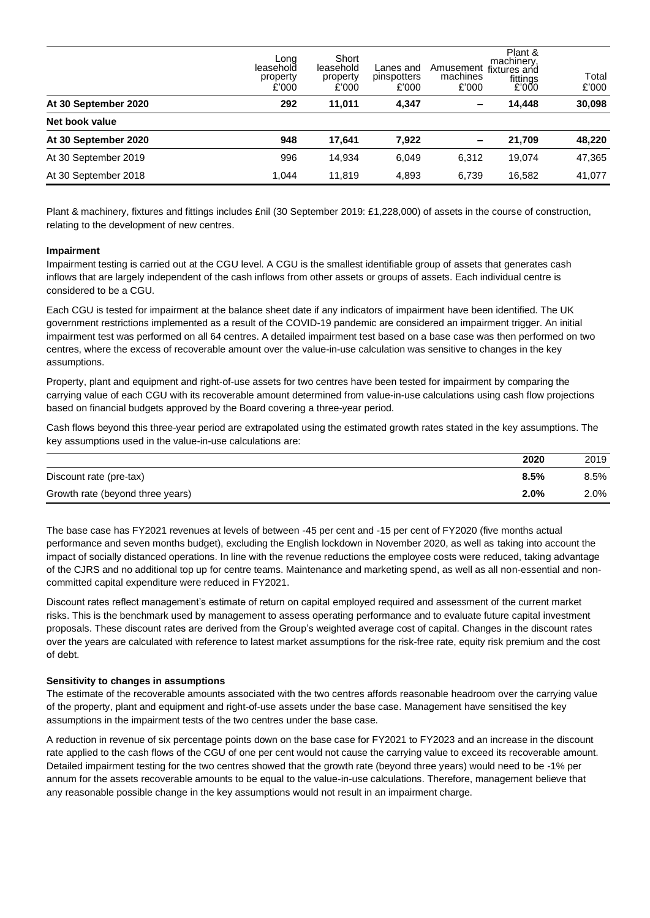|                      | Long<br>leasehold<br>property<br>£'000 | Short<br>leasehold<br>property<br>£'000 | Lanes and<br>pinspotters<br>£'000 | Amusement<br>machines<br>£'000 | Plant &<br>machinery.<br>fixtures and<br>fittings<br>2'000 | Total<br>£'000 |
|----------------------|----------------------------------------|-----------------------------------------|-----------------------------------|--------------------------------|------------------------------------------------------------|----------------|
| At 30 September 2020 | 292                                    | 11.011                                  | 4,347                             | $\overline{\phantom{0}}$       | 14.448                                                     | 30,098         |
| Net book value       |                                        |                                         |                                   |                                |                                                            |                |
| At 30 September 2020 | 948                                    | 17.641                                  | 7,922                             | $\overline{\phantom{a}}$       | 21,709                                                     | 48,220         |
| At 30 September 2019 | 996                                    | 14.934                                  | 6,049                             | 6,312                          | 19.074                                                     | 47,365         |
| At 30 September 2018 | 1.044                                  | 11.819                                  | 4,893                             | 6,739                          | 16,582                                                     | 41,077         |

Plant & machinery, fixtures and fittings includes £nil (30 September 2019: £1,228,000) of assets in the course of construction, relating to the development of new centres.

#### **Impairment**

Impairment testing is carried out at the CGU level. A CGU is the smallest identifiable group of assets that generates cash inflows that are largely independent of the cash inflows from other assets or groups of assets. Each individual centre is considered to be a CGU.

Each CGU is tested for impairment at the balance sheet date if any indicators of impairment have been identified. The UK government restrictions implemented as a result of the COVID-19 pandemic are considered an impairment trigger. An initial impairment test was performed on all 64 centres. A detailed impairment test based on a base case was then performed on two centres, where the excess of recoverable amount over the value-in-use calculation was sensitive to changes in the key assumptions.

Property, plant and equipment and right-of-use assets for two centres have been tested for impairment by comparing the carrying value of each CGU with its recoverable amount determined from value-in-use calculations using cash flow projections based on financial budgets approved by the Board covering a three-year period.

Cash flows beyond this three-year period are extrapolated using the estimated growth rates stated in the key assumptions. The key assumptions used in the value-in-use calculations are:

|                                  | 2020 | 2019    |
|----------------------------------|------|---------|
| Discount rate (pre-tax)          | 8.5% | $8.5\%$ |
| Growth rate (beyond three years) | 2.0% | 2.0%    |

The base case has FY2021 revenues at levels of between -45 per cent and -15 per cent of FY2020 (five months actual performance and seven months budget), excluding the English lockdown in November 2020, as well as taking into account the impact of socially distanced operations. In line with the revenue reductions the employee costs were reduced, taking advantage of the CJRS and no additional top up for centre teams. Maintenance and marketing spend, as well as all non-essential and noncommitted capital expenditure were reduced in FY2021.

Discount rates reflect management's estimate of return on capital employed required and assessment of the current market risks. This is the benchmark used by management to assess operating performance and to evaluate future capital investment proposals. These discount rates are derived from the Group's weighted average cost of capital. Changes in the discount rates over the years are calculated with reference to latest market assumptions for the risk-free rate, equity risk premium and the cost of debt.

#### **Sensitivity to changes in assumptions**

The estimate of the recoverable amounts associated with the two centres affords reasonable headroom over the carrying value of the property, plant and equipment and right-of-use assets under the base case. Management have sensitised the key assumptions in the impairment tests of the two centres under the base case.

A reduction in revenue of six percentage points down on the base case for FY2021 to FY2023 and an increase in the discount rate applied to the cash flows of the CGU of one per cent would not cause the carrying value to exceed its recoverable amount. Detailed impairment testing for the two centres showed that the growth rate (beyond three years) would need to be -1% per annum for the assets recoverable amounts to be equal to the value-in-use calculations. Therefore, management believe that any reasonable possible change in the key assumptions would not result in an impairment charge.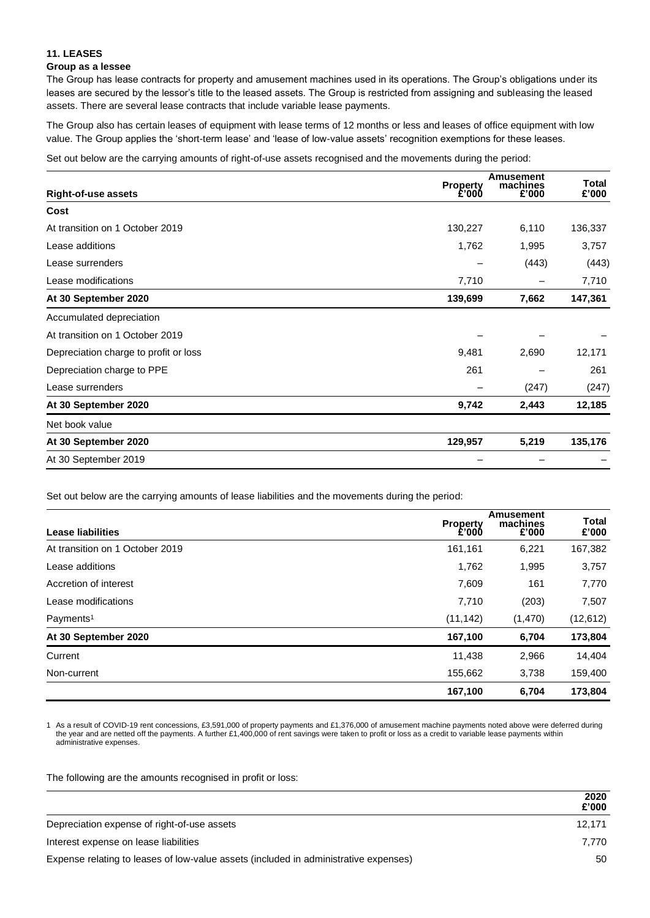# **11. LEASES**

## **Group as a lessee**

The Group has lease contracts for property and amusement machines used in its operations. The Group's obligations under its leases are secured by the lessor's title to the leased assets. The Group is restricted from assigning and subleasing the leased assets. There are several lease contracts that include variable lease payments.

The Group also has certain leases of equipment with lease terms of 12 months or less and leases of office equipment with low value. The Group applies the 'short-term lease' and 'lease of low-value assets' recognition exemptions for these leases.

Set out below are the carrying amounts of right-of-use assets recognised and the movements during the period:

|                                       | <b>Property</b> | <b>Amusement</b><br>machines | Total   |
|---------------------------------------|-----------------|------------------------------|---------|
| <b>Right-of-use assets</b>            | £'000           | £'000                        | £'000   |
| Cost                                  |                 |                              |         |
| At transition on 1 October 2019       | 130,227         | 6,110                        | 136,337 |
| Lease additions                       | 1,762           | 1,995                        | 3,757   |
| Lease surrenders                      |                 | (443)                        | (443)   |
| Lease modifications                   | 7,710           |                              | 7,710   |
| At 30 September 2020                  | 139,699         | 7,662                        | 147,361 |
| Accumulated depreciation              |                 |                              |         |
| At transition on 1 October 2019       |                 |                              |         |
| Depreciation charge to profit or loss | 9,481           | 2,690                        | 12,171  |
| Depreciation charge to PPE            | 261             |                              | 261     |
| Lease surrenders                      |                 | (247)                        | (247)   |
| At 30 September 2020                  | 9,742           | 2,443                        | 12,185  |
| Net book value                        |                 |                              |         |
| At 30 September 2020                  | 129,957         | 5,219                        | 135,176 |
| At 30 September 2019                  |                 |                              |         |

Set out below are the carrying amounts of lease liabilities and the movements during the period:

| Lease liabilities               | <b>Property</b><br>£'000 | Amusement<br>machines<br>£'000 | <b>Total</b><br>£'000 |
|---------------------------------|--------------------------|--------------------------------|-----------------------|
| At transition on 1 October 2019 | 161,161                  | 6,221                          | 167,382               |
| Lease additions                 | 1,762                    | 1,995                          | 3,757                 |
| Accretion of interest           | 7,609                    | 161                            | 7,770                 |
| Lease modifications             | 7,710                    | (203)                          | 7,507                 |
| Payments <sup>1</sup>           | (11, 142)                | (1,470)                        | (12, 612)             |
| At 30 September 2020            | 167,100                  | 6,704                          | 173,804               |
| Current                         | 11,438                   | 2,966                          | 14,404                |
| Non-current                     | 155,662                  | 3,738                          | 159,400               |
|                                 | 167,100                  | 6,704                          | 173,804               |

1 As a result of COVID-19 rent concessions, £3,591,000 of property payments and £1,376,000 of amusement machine payments noted above were deferred during the year and are netted off the payments. A further £1,400,000 of rent savings were taken to profit or loss as a credit to variable lease payments within administrative expenses.

The following are the amounts recognised in profit or loss:

|                                                                                      | 2020<br>£'000 |
|--------------------------------------------------------------------------------------|---------------|
| Depreciation expense of right-of-use assets                                          | 12,171        |
| Interest expense on lease liabilities                                                | 7.770         |
| Expense relating to leases of low-value assets (included in administrative expenses) | 50            |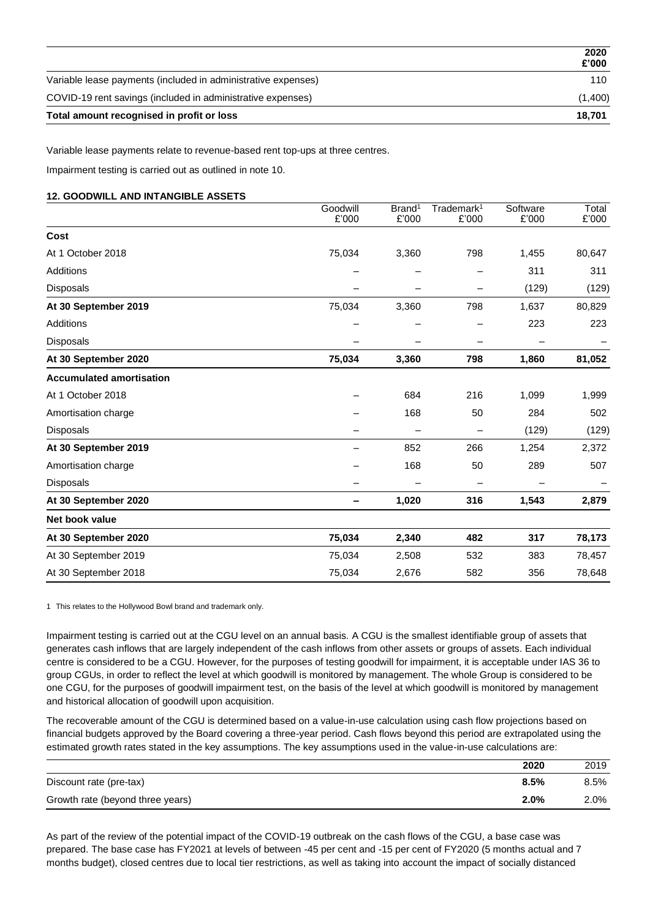|                                                               | 2020<br>£'000 |
|---------------------------------------------------------------|---------------|
| Variable lease payments (included in administrative expenses) | 110           |
| COVID-19 rent savings (included in administrative expenses)   | (1,400)       |
| Total amount recognised in profit or loss                     | 18.701        |

Variable lease payments relate to revenue-based rent top-ups at three centres.

Impairment testing is carried out as outlined in note 10.

# **12. GOODWILL AND INTANGIBLE ASSETS**

|                                 | Goodwill | Brand <sup>1</sup> | Trademark <sup>1</sup>   | Software | Total  |
|---------------------------------|----------|--------------------|--------------------------|----------|--------|
|                                 | £'000    | £'000              | £'000                    | £'000    | £'000  |
| Cost                            |          |                    |                          |          |        |
| At 1 October 2018               | 75,034   | 3,360              | 798                      | 1,455    | 80,647 |
| Additions                       |          |                    |                          | 311      | 311    |
| Disposals                       |          |                    |                          | (129)    | (129)  |
| At 30 September 2019            | 75,034   | 3,360              | 798                      | 1,637    | 80,829 |
| Additions                       |          |                    |                          | 223      | 223    |
| Disposals                       | -        |                    | $\overline{\phantom{0}}$ |          |        |
| At 30 September 2020            | 75,034   | 3,360              | 798                      | 1,860    | 81,052 |
| <b>Accumulated amortisation</b> |          |                    |                          |          |        |
| At 1 October 2018               |          | 684                | 216                      | 1,099    | 1,999  |
| Amortisation charge             |          | 168                | 50                       | 284      | 502    |
| Disposals                       |          |                    |                          | (129)    | (129)  |
| At 30 September 2019            |          | 852                | 266                      | 1,254    | 2,372  |
| Amortisation charge             |          | 168                | 50                       | 289      | 507    |
| Disposals                       |          |                    | $\overline{\phantom{0}}$ |          |        |
| At 30 September 2020            |          | 1,020              | 316                      | 1,543    | 2,879  |
| Net book value                  |          |                    |                          |          |        |
| At 30 September 2020            | 75,034   | 2,340              | 482                      | 317      | 78,173 |
| At 30 September 2019            | 75,034   | 2,508              | 532                      | 383      | 78,457 |
| At 30 September 2018            | 75,034   | 2,676              | 582                      | 356      | 78,648 |

1 This relates to the Hollywood Bowl brand and trademark only.

Impairment testing is carried out at the CGU level on an annual basis. A CGU is the smallest identifiable group of assets that generates cash inflows that are largely independent of the cash inflows from other assets or groups of assets. Each individual centre is considered to be a CGU. However, for the purposes of testing goodwill for impairment, it is acceptable under IAS 36 to group CGUs, in order to reflect the level at which goodwill is monitored by management. The whole Group is considered to be one CGU, for the purposes of goodwill impairment test, on the basis of the level at which goodwill is monitored by management and historical allocation of goodwill upon acquisition.

The recoverable amount of the CGU is determined based on a value-in-use calculation using cash flow projections based on financial budgets approved by the Board covering a three-year period. Cash flows beyond this period are extrapolated using the estimated growth rates stated in the key assumptions. The key assumptions used in the value-in-use calculations are:

|                                  | 2020 | 2019    |
|----------------------------------|------|---------|
| Discount rate (pre-tax)          | 8.5% | $8.5\%$ |
| Growth rate (beyond three years) | 2.0% | 2.0%    |

As part of the review of the potential impact of the COVID-19 outbreak on the cash flows of the CGU, a base case was prepared. The base case has FY2021 at levels of between -45 per cent and -15 per cent of FY2020 (5 months actual and 7 months budget), closed centres due to local tier restrictions, as well as taking into account the impact of socially distanced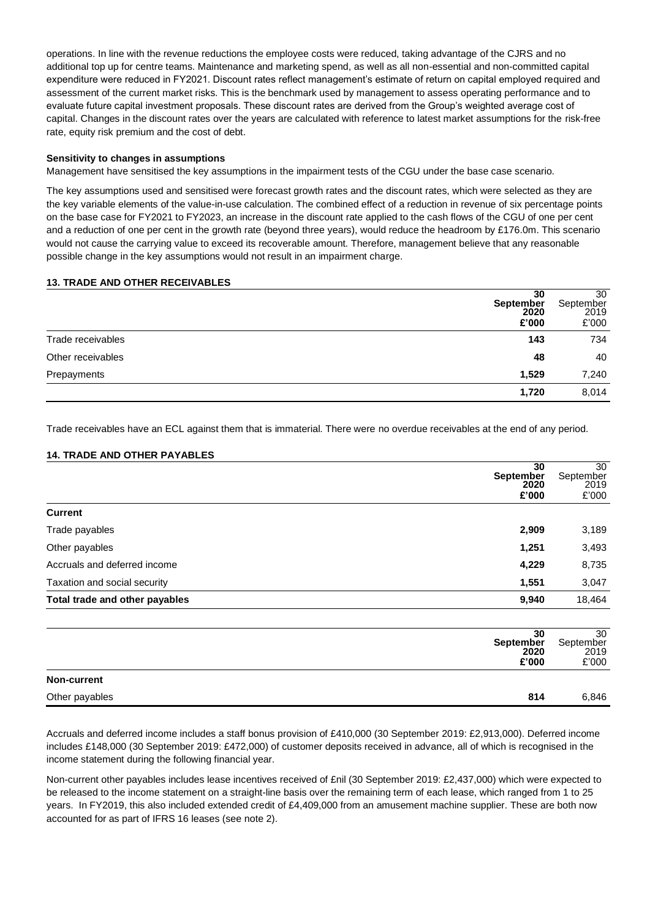operations. In line with the revenue reductions the employee costs were reduced, taking advantage of the CJRS and no additional top up for centre teams. Maintenance and marketing spend, as well as all non-essential and non-committed capital expenditure were reduced in FY2021. Discount rates reflect management's estimate of return on capital employed required and assessment of the current market risks. This is the benchmark used by management to assess operating performance and to evaluate future capital investment proposals. These discount rates are derived from the Group's weighted average cost of capital. Changes in the discount rates over the years are calculated with reference to latest market assumptions for the risk-free rate, equity risk premium and the cost of debt.

## **Sensitivity to changes in assumptions**

Management have sensitised the key assumptions in the impairment tests of the CGU under the base case scenario.

The key assumptions used and sensitised were forecast growth rates and the discount rates, which were selected as they are the key variable elements of the value-in-use calculation. The combined effect of a reduction in revenue of six percentage points on the base case for FY2021 to FY2023, an increase in the discount rate applied to the cash flows of the CGU of one per cent and a reduction of one per cent in the growth rate (beyond three years), would reduce the headroom by £176.0m. This scenario would not cause the carrying value to exceed its recoverable amount. Therefore, management believe that any reasonable possible change in the key assumptions would not result in an impairment charge.

# **13. TRADE AND OTHER RECEIVABLES**

|                   | 30<br>September<br>2020<br>£'000 | 30<br>September<br>2019<br>£'000 |
|-------------------|----------------------------------|----------------------------------|
| Trade receivables | 143                              | 734                              |
| Other receivables | 48                               | 40                               |
| Prepayments       | 1,529                            | 7,240                            |
|                   | 1,720                            | 8,014                            |

Trade receivables have an ECL against them that is immaterial. There were no overdue receivables at the end of any period.

# **14. TRADE AND OTHER PAYABLES**

|                                | 30<br><b>September</b><br>2020<br>£'000 | 30<br>September<br>2019<br>£'000 |
|--------------------------------|-----------------------------------------|----------------------------------|
| <b>Current</b>                 |                                         |                                  |
| Trade payables                 | 2,909                                   | 3,189                            |
| Other payables                 | 1,251                                   | 3,493                            |
| Accruals and deferred income   | 4,229                                   | 8,735                            |
| Taxation and social security   | 1,551                                   | 3,047                            |
| Total trade and other payables | 9,940                                   | 18,464                           |

| 30<br>September<br>2020<br>£'000 | 30<br>September<br>2019<br>£'000 |
|----------------------------------|----------------------------------|
| <b>Non-current</b>               |                                  |
| Other payables<br>814            | 6,846                            |

Accruals and deferred income includes a staff bonus provision of £410,000 (30 September 2019: £2,913,000). Deferred income includes £148,000 (30 September 2019: £472,000) of customer deposits received in advance, all of which is recognised in the income statement during the following financial year.

Non-current other payables includes lease incentives received of £nil (30 September 2019: £2,437,000) which were expected to be released to the income statement on a straight-line basis over the remaining term of each lease, which ranged from 1 to 25 years. In FY2019, this also included extended credit of £4,409,000 from an amusement machine supplier. These are both now accounted for as part of IFRS 16 leases (see note 2).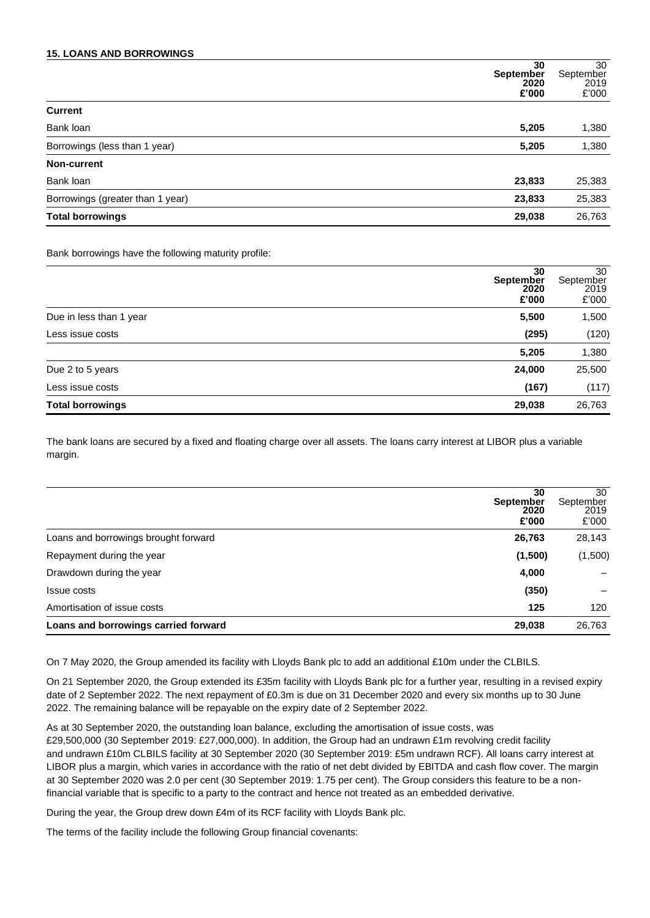## **15. LOANS AND BORROWINGS**

| 30<br><b>September</b><br>2020             | 30<br>September<br>2019 |
|--------------------------------------------|-------------------------|
| £'000                                      | £'000                   |
| <b>Current</b>                             |                         |
| Bank loan<br>5,205                         | 1,380                   |
| Borrowings (less than 1 year)<br>5,205     | 1,380                   |
| Non-current                                |                         |
| Bank loan<br>23,833                        | 25,383                  |
| Borrowings (greater than 1 year)<br>23,833 | 25,383                  |
| 29,038<br><b>Total borrowings</b>          | 26,763                  |

Bank borrowings have the following maturity profile:

|                         | 30<br><b>September</b><br>2020<br>£'000 | 30<br>September<br>2019<br>£'000 |
|-------------------------|-----------------------------------------|----------------------------------|
| Due in less than 1 year | 5,500                                   | 1,500                            |
| Less issue costs        | (295)                                   | (120)                            |
|                         | 5,205                                   | 1,380                            |
| Due 2 to 5 years        | 24,000                                  | 25,500                           |
| Less issue costs        | (167)                                   | (117)                            |
| <b>Total borrowings</b> | 29,038                                  | 26,763                           |

The bank loans are secured by a fixed and floating charge over all assets. The loans carry interest at LIBOR plus a variable margin.

| 30<br><b>September</b><br>2020<br>£'000        | 30<br>September<br>2019<br>£'000 |
|------------------------------------------------|----------------------------------|
| Loans and borrowings brought forward<br>26,763 | 28,143                           |
| (1,500)<br>Repayment during the year           | (1,500)                          |
| 4,000<br>Drawdown during the year              |                                  |
| (350)<br>Issue costs                           |                                  |
| Amortisation of issue costs<br>125             | 120                              |
| Loans and borrowings carried forward<br>29,038 | 26,763                           |

On 7 May 2020, the Group amended its facility with Lloyds Bank plc to add an additional £10m under the CLBILS.

On 21 September 2020, the Group extended its £35m facility with Lloyds Bank plc for a further year, resulting in a revised expiry date of 2 September 2022. The next repayment of £0.3m is due on 31 December 2020 and every six months up to 30 June 2022. The remaining balance will be repayable on the expiry date of 2 September 2022.

As at 30 September 2020, the outstanding loan balance, excluding the amortisation of issue costs, was £29,500,000 (30 September 2019: £27,000,000). In addition, the Group had an undrawn £1m revolving credit facility and undrawn £10m CLBILS facility at 30 September 2020 (30 September 2019: £5m undrawn RCF). All loans carry interest at LIBOR plus a margin, which varies in accordance with the ratio of net debt divided by EBITDA and cash flow cover. The margin at 30 September 2020 was 2.0 per cent (30 September 2019: 1.75 per cent). The Group considers this feature to be a nonfinancial variable that is specific to a party to the contract and hence not treated as an embedded derivative.

During the year, the Group drew down £4m of its RCF facility with Lloyds Bank plc.

The terms of the facility include the following Group financial covenants: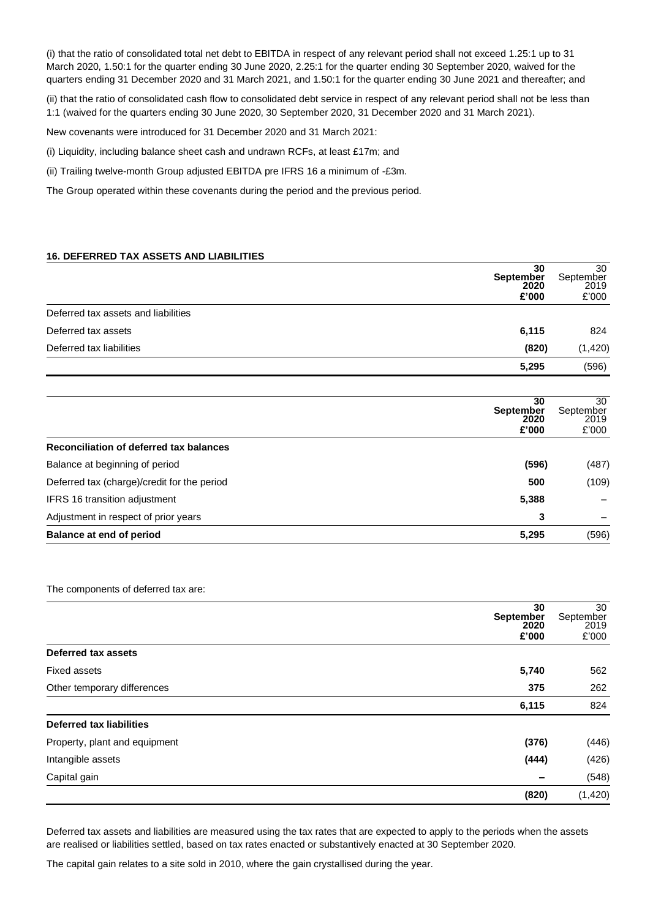(i) that the ratio of consolidated total net debt to EBITDA in respect of any relevant period shall not exceed 1.25:1 up to 31 March 2020, 1.50:1 for the quarter ending 30 June 2020, 2.25:1 for the quarter ending 30 September 2020, waived for the quarters ending 31 December 2020 and 31 March 2021, and 1.50:1 for the quarter ending 30 June 2021 and thereafter; and

(ii) that the ratio of consolidated cash flow to consolidated debt service in respect of any relevant period shall not be less than 1:1 (waived for the quarters ending 30 June 2020, 30 September 2020, 31 December 2020 and 31 March 2021).

New covenants were introduced for 31 December 2020 and 31 March 2021:

(i) Liquidity, including balance sheet cash and undrawn RCFs, at least £17m; and

(ii) Trailing twelve-month Group adjusted EBITDA pre IFRS 16 a minimum of -£3m.

The Group operated within these covenants during the period and the previous period.

#### **16. DEFERRED TAX ASSETS AND LIABILITIES**

|                                     | 30<br>September<br>2020<br>£'000 | 30<br>September<br>2019<br>£'000 |
|-------------------------------------|----------------------------------|----------------------------------|
| Deferred tax assets and liabilities |                                  |                                  |
| Deferred tax assets                 | 6,115                            | 824                              |
| Deferred tax liabilities            | (820)                            | (1, 420)                         |
|                                     | 5,295                            | (596)                            |

| 30<br><b>September</b><br>2020<br>£'000            | 30<br>September<br>2019<br>£'000 |
|----------------------------------------------------|----------------------------------|
| Reconciliation of deferred tax balances            |                                  |
| Balance at beginning of period<br>(596)            | (487)                            |
| Deferred tax (charge)/credit for the period<br>500 | (109)                            |
| 5,388<br><b>IFRS 16 transition adjustment</b>      |                                  |
| Adjustment in respect of prior years<br>3          |                                  |
| Balance at end of period<br>5,295                  | (596)                            |

The components of deferred tax are:

|                                 | 30<br>September<br>2020<br>£'000 | 30<br>September<br>2019<br>£'000 |
|---------------------------------|----------------------------------|----------------------------------|
| Deferred tax assets             |                                  |                                  |
| Fixed assets                    | 5,740                            | 562                              |
| Other temporary differences     | 375                              | 262                              |
|                                 | 6,115                            | 824                              |
| <b>Deferred tax liabilities</b> |                                  |                                  |
| Property, plant and equipment   | (376)                            | (446)                            |
| Intangible assets               | (444)                            | (426)                            |
| Capital gain                    |                                  | (548)                            |
|                                 | (820)                            | (1, 420)                         |

Deferred tax assets and liabilities are measured using the tax rates that are expected to apply to the periods when the assets are realised or liabilities settled, based on tax rates enacted or substantively enacted at 30 September 2020.

The capital gain relates to a site sold in 2010, where the gain crystallised during the year.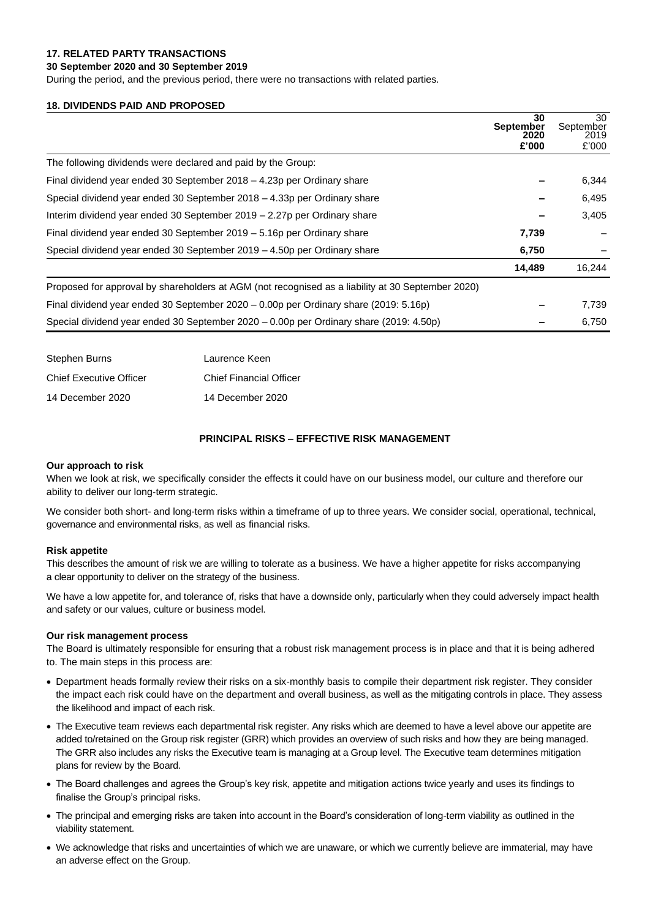# **17. RELATED PARTY TRANSACTIONS**

### **30 September 2020 and 30 September 2019**

During the period, and the previous period, there were no transactions with related parties.

### **18. DIVIDENDS PAID AND PROPOSED**

|                                                                                                   | 30<br><b>September</b> | 30<br>September |
|---------------------------------------------------------------------------------------------------|------------------------|-----------------|
|                                                                                                   | 2020<br>£'000          | 2019<br>£'000   |
| The following dividends were declared and paid by the Group:                                      |                        |                 |
| Final dividend year ended 30 September 2018 – 4.23p per Ordinary share                            |                        | 6,344           |
| Special dividend year ended 30 September 2018 – 4.33p per Ordinary share                          |                        | 6,495           |
| Interim dividend year ended 30 September 2019 - 2.27p per Ordinary share                          |                        | 3,405           |
| Final dividend year ended 30 September 2019 - 5.16p per Ordinary share                            | 7,739                  |                 |
| Special dividend year ended 30 September $2019 - 4.50p$ per Ordinary share                        | 6,750                  |                 |
|                                                                                                   | 14,489                 | 16,244          |
| Proposed for approval by shareholders at AGM (not recognised as a liability at 30 September 2020) |                        |                 |
| Final dividend year ended 30 September 2020 – 0.00p per Ordinary share (2019: 5.16p)              |                        | 7,739           |
| Special dividend year ended 30 September 2020 - 0.00p per Ordinary share (2019: 4.50p)            |                        | 6,750           |

| Stephen Burns                  | Laurence Keen                  |
|--------------------------------|--------------------------------|
| <b>Chief Executive Officer</b> | <b>Chief Financial Officer</b> |
| 14 December 2020               | 14 December 2020               |

## **PRINCIPAL RISKS – EFFECTIVE RISK MANAGEMENT**

#### **Our approach to risk**

When we look at risk, we specifically consider the effects it could have on our business model, our culture and therefore our ability to deliver our long-term strategic.

We consider both short- and long-term risks within a timeframe of up to three years. We consider social, operational, technical, governance and environmental risks, as well as financial risks.

#### **Risk appetite**

This describes the amount of risk we are willing to tolerate as a business. We have a higher appetite for risks accompanying a clear opportunity to deliver on the strategy of the business.

We have a low appetite for, and tolerance of, risks that have a downside only, particularly when they could adversely impact health and safety or our values, culture or business model.

#### **Our risk management process**

The Board is ultimately responsible for ensuring that a robust risk management process is in place and that it is being adhered to. The main steps in this process are:

- Department heads formally review their risks on a six-monthly basis to compile their department risk register. They consider the impact each risk could have on the department and overall business, as well as the mitigating controls in place. They assess the likelihood and impact of each risk.
- The Executive team reviews each departmental risk register. Any risks which are deemed to have a level above our appetite are added to/retained on the Group risk register (GRR) which provides an overview of such risks and how they are being managed. The GRR also includes any risks the Executive team is managing at a Group level. The Executive team determines mitigation plans for review by the Board.
- The Board challenges and agrees the Group's key risk, appetite and mitigation actions twice yearly and uses its findings to finalise the Group's principal risks.
- The principal and emerging risks are taken into account in the Board's consideration of long-term viability as outlined in the viability statement.
- We acknowledge that risks and uncertainties of which we are unaware, or which we currently believe are immaterial, may have an adverse effect on the Group.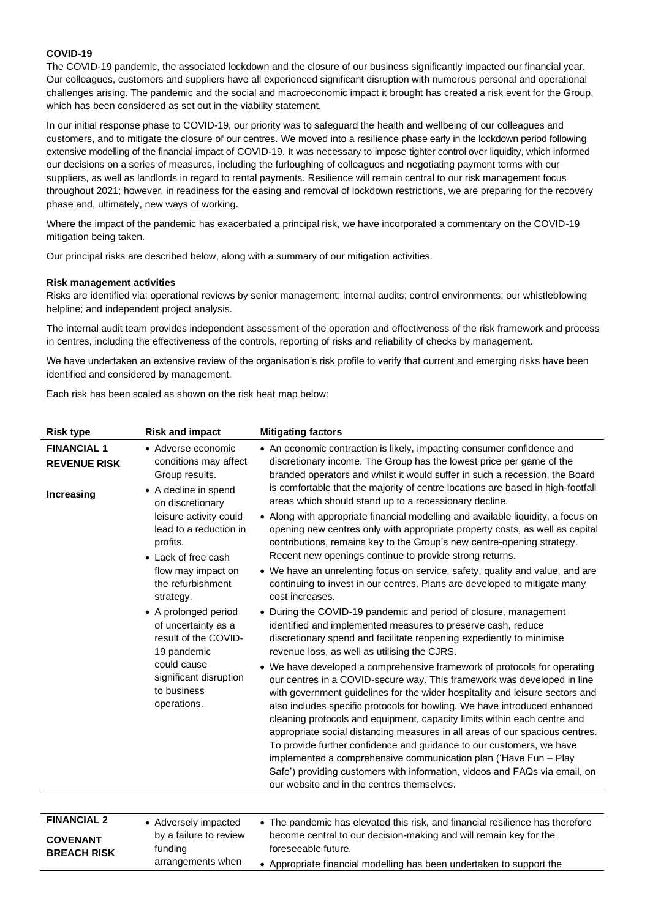# **COVID-19**

The COVID-19 pandemic, the associated lockdown and the closure of our business significantly impacted our financial year. Our colleagues, customers and suppliers have all experienced significant disruption with numerous personal and operational challenges arising. The pandemic and the social and macroeconomic impact it brought has created a risk event for the Group, which has been considered as set out in the viability statement.

In our initial response phase to COVID-19, our priority was to safeguard the health and wellbeing of our colleagues and customers, and to mitigate the closure of our centres. We moved into a resilience phase early in the lockdown period following extensive modelling of the financial impact of COVID-19. It was necessary to impose tighter control over liquidity, which informed our decisions on a series of measures, including the furloughing of colleagues and negotiating payment terms with our suppliers, as well as landlords in regard to rental payments. Resilience will remain central to our risk management focus throughout 2021; however, in readiness for the easing and removal of lockdown restrictions, we are preparing for the recovery phase and, ultimately, new ways of working.

Where the impact of the pandemic has exacerbated a principal risk, we have incorporated a commentary on the COVID-19 mitigation being taken.

Our principal risks are described below, along with a summary of our mitigation activities.

#### **Risk management activities**

Risks are identified via: operational reviews by senior management; internal audits; control environments; our whistleblowing helpline; and independent project analysis.

The internal audit team provides independent assessment of the operation and effectiveness of the risk framework and process in centres, including the effectiveness of the controls, reporting of risks and reliability of checks by management.

We have undertaken an extensive review of the organisation's risk profile to verify that current and emerging risks have been identified and considered by management.

Each risk has been scaled as shown on the risk heat map below:

| <b>Risk type</b>                                                    | <b>Risk and impact</b>                                                                                                                                                                                                                                                                                                                                                                                                                                                                                                                                                                                                                                                                                                                               | <b>Mitigating factors</b>                                                                                                                                                                                                                                                                                                                                                                                                                                                              |
|---------------------------------------------------------------------|------------------------------------------------------------------------------------------------------------------------------------------------------------------------------------------------------------------------------------------------------------------------------------------------------------------------------------------------------------------------------------------------------------------------------------------------------------------------------------------------------------------------------------------------------------------------------------------------------------------------------------------------------------------------------------------------------------------------------------------------------|----------------------------------------------------------------------------------------------------------------------------------------------------------------------------------------------------------------------------------------------------------------------------------------------------------------------------------------------------------------------------------------------------------------------------------------------------------------------------------------|
| <b>FINANCIAL 1</b><br><b>REVENUE RISK</b><br>Increasing             | • Adverse economic<br>conditions may affect<br>Group results.<br>• A decline in spend<br>on discretionary                                                                                                                                                                                                                                                                                                                                                                                                                                                                                                                                                                                                                                            | • An economic contraction is likely, impacting consumer confidence and<br>discretionary income. The Group has the lowest price per game of the<br>branded operators and whilst it would suffer in such a recession, the Board<br>is comfortable that the majority of centre locations are based in high-footfall<br>areas which should stand up to a recessionary decline.                                                                                                             |
| profits.                                                            | leisure activity could<br>lead to a reduction in<br>• Lack of free cash<br>flow may impact on<br>the refurbishment<br>strategy.                                                                                                                                                                                                                                                                                                                                                                                                                                                                                                                                                                                                                      | • Along with appropriate financial modelling and available liquidity, a focus on<br>opening new centres only with appropriate property costs, as well as capital<br>contributions, remains key to the Group's new centre-opening strategy.<br>Recent new openings continue to provide strong returns.<br>• We have an unrelenting focus on service, safety, quality and value, and are<br>continuing to invest in our centres. Plans are developed to mitigate many<br>cost increases. |
|                                                                     | • A prolonged period<br>of uncertainty as a<br>result of the COVID-<br>19 pandemic                                                                                                                                                                                                                                                                                                                                                                                                                                                                                                                                                                                                                                                                   | • During the COVID-19 pandemic and period of closure, management<br>identified and implemented measures to preserve cash, reduce<br>discretionary spend and facilitate reopening expediently to minimise<br>revenue loss, as well as utilising the CJRS.                                                                                                                                                                                                                               |
| could cause<br>significant disruption<br>to business<br>operations. | • We have developed a comprehensive framework of protocols for operating<br>our centres in a COVID-secure way. This framework was developed in line<br>with government guidelines for the wider hospitality and leisure sectors and<br>also includes specific protocols for bowling. We have introduced enhanced<br>cleaning protocols and equipment, capacity limits within each centre and<br>appropriate social distancing measures in all areas of our spacious centres.<br>To provide further confidence and guidance to our customers, we have<br>implemented a comprehensive communication plan ('Have Fun - Play<br>Safe') providing customers with information, videos and FAQs via email, on<br>our website and in the centres themselves. |                                                                                                                                                                                                                                                                                                                                                                                                                                                                                        |
|                                                                     |                                                                                                                                                                                                                                                                                                                                                                                                                                                                                                                                                                                                                                                                                                                                                      |                                                                                                                                                                                                                                                                                                                                                                                                                                                                                        |
| <b>FINANCIAL 2</b>                                                  | • Adversely impacted                                                                                                                                                                                                                                                                                                                                                                                                                                                                                                                                                                                                                                                                                                                                 | • The pandemic has elevated this risk, and financial resilience has therefore                                                                                                                                                                                                                                                                                                                                                                                                          |
| <b>COVENANT</b><br><b>BREACH RISK</b>                               | by a failure to review<br>funding                                                                                                                                                                                                                                                                                                                                                                                                                                                                                                                                                                                                                                                                                                                    | become central to our decision-making and will remain key for the<br>foreseeable future.                                                                                                                                                                                                                                                                                                                                                                                               |
|                                                                     | arrangements when                                                                                                                                                                                                                                                                                                                                                                                                                                                                                                                                                                                                                                                                                                                                    | • Appropriate financial modelling has been undertaken to support the                                                                                                                                                                                                                                                                                                                                                                                                                   |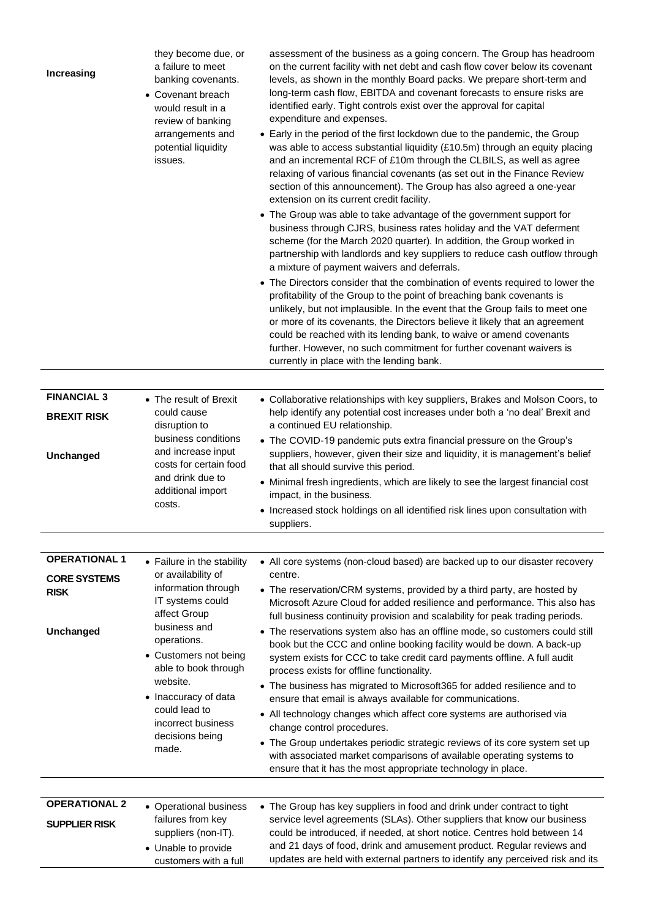| Increasing                         | they become due, or<br>a failure to meet<br>banking covenants.<br>• Covenant breach<br>would result in a<br>review of banking<br>arrangements and<br>potential liquidity<br>issues. | assessment of the business as a going concern. The Group has headroom<br>on the current facility with net debt and cash flow cover below its covenant<br>levels, as shown in the monthly Board packs. We prepare short-term and<br>long-term cash flow, EBITDA and covenant forecasts to ensure risks are<br>identified early. Tight controls exist over the approval for capital<br>expenditure and expenses.<br>• Early in the period of the first lockdown due to the pandemic, the Group<br>was able to access substantial liquidity (£10.5m) through an equity placing<br>and an incremental RCF of £10m through the CLBILS, as well as agree<br>relaxing of various financial covenants (as set out in the Finance Review<br>section of this announcement). The Group has also agreed a one-year<br>extension on its current credit facility.<br>• The Group was able to take advantage of the government support for<br>business through CJRS, business rates holiday and the VAT deferment<br>scheme (for the March 2020 quarter). In addition, the Group worked in<br>partnership with landlords and key suppliers to reduce cash outflow through<br>a mixture of payment waivers and deferrals.<br>• The Directors consider that the combination of events required to lower the<br>profitability of the Group to the point of breaching bank covenants is<br>unlikely, but not implausible. In the event that the Group fails to meet one<br>or more of its covenants, the Directors believe it likely that an agreement<br>could be reached with its lending bank, to waive or amend covenants<br>further. However, no such commitment for further covenant waivers is<br>currently in place with the lending bank. |
|------------------------------------|-------------------------------------------------------------------------------------------------------------------------------------------------------------------------------------|---------------------------------------------------------------------------------------------------------------------------------------------------------------------------------------------------------------------------------------------------------------------------------------------------------------------------------------------------------------------------------------------------------------------------------------------------------------------------------------------------------------------------------------------------------------------------------------------------------------------------------------------------------------------------------------------------------------------------------------------------------------------------------------------------------------------------------------------------------------------------------------------------------------------------------------------------------------------------------------------------------------------------------------------------------------------------------------------------------------------------------------------------------------------------------------------------------------------------------------------------------------------------------------------------------------------------------------------------------------------------------------------------------------------------------------------------------------------------------------------------------------------------------------------------------------------------------------------------------------------------------------------------------------------------------------------------------------------------------|
|                                    |                                                                                                                                                                                     |                                                                                                                                                                                                                                                                                                                                                                                                                                                                                                                                                                                                                                                                                                                                                                                                                                                                                                                                                                                                                                                                                                                                                                                                                                                                                                                                                                                                                                                                                                                                                                                                                                                                                                                                 |
| <b>BREXIT RISK</b>                 | <b>FINANCIAL 3</b><br>• The result of Brexit<br>could cause<br>disruption to<br>business conditions<br>and increase input<br>costs for certain food<br>and drink due to             | • Collaborative relationships with key suppliers, Brakes and Molson Coors, to<br>help identify any potential cost increases under both a 'no deal' Brexit and<br>a continued EU relationship.                                                                                                                                                                                                                                                                                                                                                                                                                                                                                                                                                                                                                                                                                                                                                                                                                                                                                                                                                                                                                                                                                                                                                                                                                                                                                                                                                                                                                                                                                                                                   |
| Unchanged                          |                                                                                                                                                                                     | • The COVID-19 pandemic puts extra financial pressure on the Group's<br>suppliers, however, given their size and liquidity, it is management's belief<br>that all should survive this period.<br>• Minimal fresh ingredients, which are likely to see the largest financial cost                                                                                                                                                                                                                                                                                                                                                                                                                                                                                                                                                                                                                                                                                                                                                                                                                                                                                                                                                                                                                                                                                                                                                                                                                                                                                                                                                                                                                                                |
| additional import<br>costs.        | impact, in the business.<br>• Increased stock holdings on all identified risk lines upon consultation with<br>suppliers.                                                            |                                                                                                                                                                                                                                                                                                                                                                                                                                                                                                                                                                                                                                                                                                                                                                                                                                                                                                                                                                                                                                                                                                                                                                                                                                                                                                                                                                                                                                                                                                                                                                                                                                                                                                                                 |
| <b>OPERATIONAL 1</b>               | • Failure in the stability                                                                                                                                                          | • All core systems (non-cloud based) are backed up to our disaster recovery                                                                                                                                                                                                                                                                                                                                                                                                                                                                                                                                                                                                                                                                                                                                                                                                                                                                                                                                                                                                                                                                                                                                                                                                                                                                                                                                                                                                                                                                                                                                                                                                                                                     |
| <b>CORE SYSTEMS</b><br><b>RISK</b> | or availability of<br>information through<br>IT systems could<br>affect Group<br>business and<br>operations.<br>• Customers not being<br>able to book through                       | centre.<br>• The reservation/CRM systems, provided by a third party, are hosted by<br>Microsoft Azure Cloud for added resilience and performance. This also has<br>full business continuity provision and scalability for peak trading periods.                                                                                                                                                                                                                                                                                                                                                                                                                                                                                                                                                                                                                                                                                                                                                                                                                                                                                                                                                                                                                                                                                                                                                                                                                                                                                                                                                                                                                                                                                 |
| Unchanged                          |                                                                                                                                                                                     | • The reservations system also has an offline mode, so customers could still<br>book but the CCC and online booking facility would be down. A back-up<br>system exists for CCC to take credit card payments offline. A full audit<br>process exists for offline functionality.                                                                                                                                                                                                                                                                                                                                                                                                                                                                                                                                                                                                                                                                                                                                                                                                                                                                                                                                                                                                                                                                                                                                                                                                                                                                                                                                                                                                                                                  |
| website.<br>• Inaccuracy of data   | • The business has migrated to Microsoft365 for added resilience and to<br>ensure that email is always available for communications.                                                |                                                                                                                                                                                                                                                                                                                                                                                                                                                                                                                                                                                                                                                                                                                                                                                                                                                                                                                                                                                                                                                                                                                                                                                                                                                                                                                                                                                                                                                                                                                                                                                                                                                                                                                                 |
|                                    | could lead to<br>incorrect business                                                                                                                                                 | • All technology changes which affect core systems are authorised via<br>change control procedures.                                                                                                                                                                                                                                                                                                                                                                                                                                                                                                                                                                                                                                                                                                                                                                                                                                                                                                                                                                                                                                                                                                                                                                                                                                                                                                                                                                                                                                                                                                                                                                                                                             |
|                                    | decisions being<br>made.                                                                                                                                                            | • The Group undertakes periodic strategic reviews of its core system set up<br>with associated market comparisons of available operating systems to<br>ensure that it has the most appropriate technology in place.                                                                                                                                                                                                                                                                                                                                                                                                                                                                                                                                                                                                                                                                                                                                                                                                                                                                                                                                                                                                                                                                                                                                                                                                                                                                                                                                                                                                                                                                                                             |
| <b>OPERATIONAL 2</b>               | • Operational business                                                                                                                                                              | • The Group has key suppliers in food and drink under contract to tight                                                                                                                                                                                                                                                                                                                                                                                                                                                                                                                                                                                                                                                                                                                                                                                                                                                                                                                                                                                                                                                                                                                                                                                                                                                                                                                                                                                                                                                                                                                                                                                                                                                         |
| <b>SUPPLIER RISK</b>               | failures from key<br>suppliers (non-IT).<br>• Unable to provide<br>customers with a full                                                                                            | service level agreements (SLAs). Other suppliers that know our business<br>could be introduced, if needed, at short notice. Centres hold between 14<br>and 21 days of food, drink and amusement product. Regular reviews and<br>updates are held with external partners to identify any perceived risk and its                                                                                                                                                                                                                                                                                                                                                                                                                                                                                                                                                                                                                                                                                                                                                                                                                                                                                                                                                                                                                                                                                                                                                                                                                                                                                                                                                                                                                  |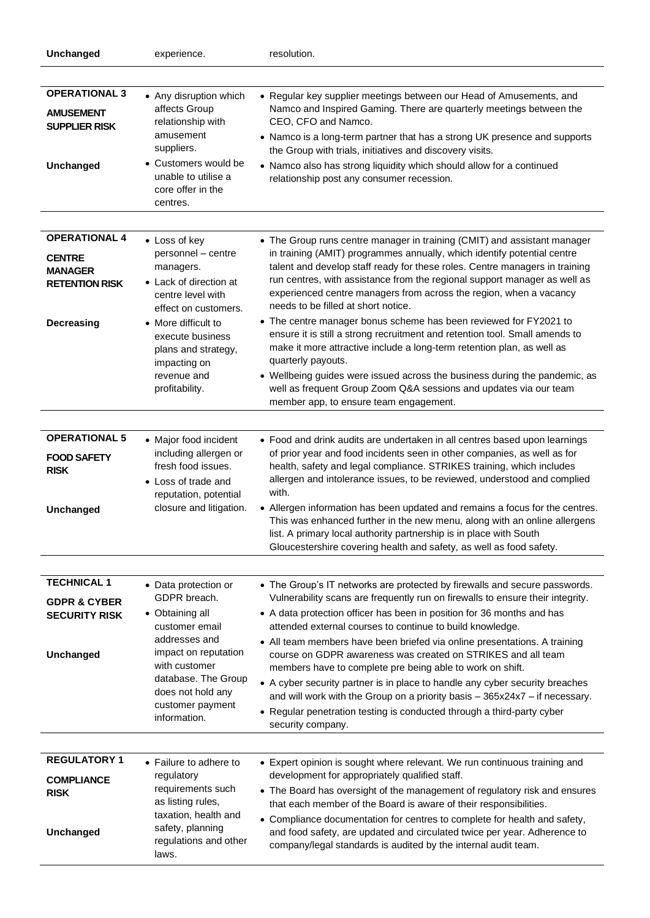| Unchanged                                                                                             | experience.                                                                                                                                                                                                                                | resolution.                                                                                                                                                                                                                                                                                                                                                                                                                                                                                                                                                                                                                                                                                                                                                                                                                                                                   |
|-------------------------------------------------------------------------------------------------------|--------------------------------------------------------------------------------------------------------------------------------------------------------------------------------------------------------------------------------------------|-------------------------------------------------------------------------------------------------------------------------------------------------------------------------------------------------------------------------------------------------------------------------------------------------------------------------------------------------------------------------------------------------------------------------------------------------------------------------------------------------------------------------------------------------------------------------------------------------------------------------------------------------------------------------------------------------------------------------------------------------------------------------------------------------------------------------------------------------------------------------------|
|                                                                                                       |                                                                                                                                                                                                                                            |                                                                                                                                                                                                                                                                                                                                                                                                                                                                                                                                                                                                                                                                                                                                                                                                                                                                               |
| <b>OPERATIONAL 3</b><br><b>AMUSEMENT</b><br><b>SUPPLIER RISK</b><br>Unchanged                         | • Any disruption which<br>affects Group<br>relationship with<br>amusement<br>suppliers.<br>• Customers would be<br>unable to utilise a<br>core offer in the<br>centres.                                                                    | • Regular key supplier meetings between our Head of Amusements, and<br>Namco and Inspired Gaming. There are quarterly meetings between the<br>CEO, CFO and Namco.<br>• Namco is a long-term partner that has a strong UK presence and supports<br>the Group with trials, initiatives and discovery visits.<br>• Namco also has strong liquidity which should allow for a continued<br>relationship post any consumer recession.                                                                                                                                                                                                                                                                                                                                                                                                                                               |
| <b>OPERATIONAL 4</b><br><b>CENTRE</b><br><b>MANAGER</b><br><b>RETENTION RISK</b><br><b>Decreasing</b> | • Loss of key<br>personnel - centre<br>managers.<br>• Lack of direction at<br>centre level with<br>effect on customers.<br>• More difficult to<br>execute business<br>plans and strategy,<br>impacting on<br>revenue and<br>profitability. | • The Group runs centre manager in training (CMIT) and assistant manager<br>in training (AMIT) programmes annually, which identify potential centre<br>talent and develop staff ready for these roles. Centre managers in training<br>run centres, with assistance from the regional support manager as well as<br>experienced centre managers from across the region, when a vacancy<br>needs to be filled at short notice.<br>• The centre manager bonus scheme has been reviewed for FY2021 to<br>ensure it is still a strong recruitment and retention tool. Small amends to<br>make it more attractive include a long-term retention plan, as well as<br>quarterly payouts.<br>• Wellbeing guides were issued across the business during the pandemic, as<br>well as frequent Group Zoom Q&A sessions and updates via our team<br>member app, to ensure team engagement. |
| <b>OPERATIONAL 5</b><br><b>FOOD SAFETY</b><br><b>RISK</b><br>Unchanged                                | • Major food incident<br>including allergen or<br>fresh food issues.<br>• Loss of trade and<br>reputation, potential<br>closure and litigation.                                                                                            | • Food and drink audits are undertaken in all centres based upon learnings<br>of prior year and food incidents seen in other companies, as well as for<br>health, safety and legal compliance. STRIKES training, which includes<br>allergen and intolerance issues, to be reviewed, understood and complied<br>with.<br>• Allergen information has been updated and remains a focus for the centres.<br>This was enhanced further in the new menu, along with an online allergens<br>list. A primary local authority partnership is in place with South<br>Gloucestershire covering health and safety, as well as food safety.                                                                                                                                                                                                                                                |
| <b>TECHNICAL 1</b><br><b>GDPR &amp; CYBER</b><br><b>SECURITY RISK</b><br>Unchanged                    | • Data protection or<br>GDPR breach.<br>• Obtaining all<br>customer email<br>addresses and<br>impact on reputation<br>with customer<br>database. The Group<br>does not hold any<br>customer payment<br>information.                        | • The Group's IT networks are protected by firewalls and secure passwords.<br>Vulnerability scans are frequently run on firewalls to ensure their integrity.<br>• A data protection officer has been in position for 36 months and has<br>attended external courses to continue to build knowledge.<br>• All team members have been briefed via online presentations. A training<br>course on GDPR awareness was created on STRIKES and all team<br>members have to complete pre being able to work on shift.<br>• A cyber security partner is in place to handle any cyber security breaches<br>and will work with the Group on a priority basis - 365x24x7 - if necessary.<br>• Regular penetration testing is conducted through a third-party cyber<br>security company.                                                                                                   |
| <b>REGULATORY 1</b><br><b>COMPLIANCE</b><br><b>RISK</b><br>Unchanged                                  | • Failure to adhere to<br>regulatory<br>requirements such<br>as listing rules,<br>taxation, health and<br>safety, planning<br>regulations and other<br>laws.                                                                               | • Expert opinion is sought where relevant. We run continuous training and<br>development for appropriately qualified staff.<br>• The Board has oversight of the management of regulatory risk and ensures<br>that each member of the Board is aware of their responsibilities.<br>• Compliance documentation for centres to complete for health and safety,<br>and food safety, are updated and circulated twice per year. Adherence to<br>company/legal standards is audited by the internal audit team.                                                                                                                                                                                                                                                                                                                                                                     |